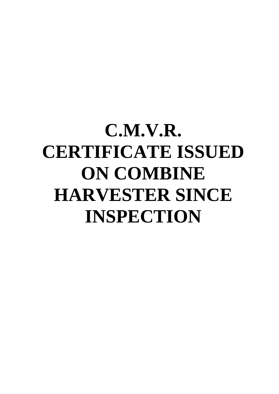## **C.M.V.R. CERTIFICATE ISSUED ON COMBINE HARVESTER SINCE INSPECTION**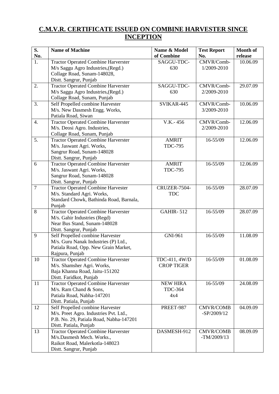## **C.M.V.R. CERTIFICATE ISSUED ON COMBINE HARVESTER SINCE INCEPTION**

| S.               | <b>Name of Machine</b>                                  | Name & Model                   | <b>Test Report</b> | <b>Month of</b> |
|------------------|---------------------------------------------------------|--------------------------------|--------------------|-----------------|
| No.              |                                                         | of Combine                     | No.                | release         |
| 1.               | <b>Tractor Operated Combine Harverster</b>              | SAGGU-TDC-                     | CMVR/Comb-         | 10.06.09        |
|                  | M/s Saggu Agro Industries, (Regd.)                      | 630                            | 1/2009-2010        |                 |
|                  | Collage Road, Sunam-148028,                             |                                |                    |                 |
|                  | Distt. Sangrur, Punjab                                  |                                |                    |                 |
| 2.               | <b>Tractor Operated Combine Harverster</b>              | SAGGU-TDC-                     | CMVR/Comb-         | 29.07.09        |
|                  | M/s Saggu Agro Industries, (Regd.)                      | 630                            | 2/2009-2010        |                 |
|                  | Collage Road, Sunam, Punjab                             |                                |                    |                 |
| 3.               | Self Propelled combine Harvester                        | SVIKAR-445                     | CMVR/Comb-         | 10.06.09        |
|                  | M/s. New Dasmesh Engg. Works,                           |                                | 3/2009-2010        |                 |
|                  | Patiala Road, Siwan                                     |                                |                    |                 |
| $\overline{4}$ . | <b>Tractor Operated Combine Harverster</b>              | V.K.-456                       | CMVR/Comb-         | 12.06.09        |
|                  | M/s. Deosi Agro. Industries,                            |                                | 2/2009-2010        |                 |
|                  | Collage Road, Sunam, Punjab                             |                                |                    |                 |
| 5.               | <b>Tractor Operated Combine Harverster</b>              | <b>AMRIT</b>                   | 16-55/09           | 12.06.09        |
|                  | M/s. Jaswant Agri. Works,                               | <b>TDC-795</b>                 |                    |                 |
|                  | Sangrur Road, Sunam-148028                              |                                |                    |                 |
|                  | Distt. Sangrur, Punjab                                  |                                |                    | 12.06.09        |
| 6                | <b>Tractor Operated Combine Harverster</b>              | <b>AMRIT</b><br><b>TDC-795</b> | 16-55/09           |                 |
|                  | M/s. Jaswant Agri. Works,<br>Sangrur Road, Sunam-148028 |                                |                    |                 |
|                  | Distt. Sangrur, Punjab                                  |                                |                    |                 |
| $\overline{7}$   | <b>Tractor Operated Combine Harvester</b>               | CRUZER-7504-                   | 16-55/09           | 28.07.09        |
|                  | M/s. Standard Agri. Works,                              | <b>TDC</b>                     |                    |                 |
|                  | Standard Chowk, Bathinda Road, Barnala,                 |                                |                    |                 |
|                  | Punjab                                                  |                                |                    |                 |
| 8                | <b>Tractor Operated Combine Harverster</b>              | <b>GAHIR-512</b>               | 16-55/09           | 28.07.09        |
|                  | M/s. Gahir Industries (Regd)                            |                                |                    |                 |
|                  | Near Bus Stand, Sunam-148028                            |                                |                    |                 |
|                  | Distt. Sangrur, Punjab                                  |                                |                    |                 |
| 9                | Self Propelled combine Harvester                        | GNI-961                        | 16-55/09           | 11.08.09        |
|                  | M/s. Guru Nanak Industries (P) Ltd.,                    |                                |                    |                 |
|                  | Patiala Road, Opp. New Grain Market,                    |                                |                    |                 |
|                  | Rajpura, Punjab                                         |                                |                    |                 |
| 10               | <b>Tractor Operated Combine Harverster</b>              | TDC-411, 4W/D                  | 16-55/09           | 01.08.09        |
|                  | M/s. Shamsher Agri. Works,                              | <b>CROP TIGER</b>              |                    |                 |
|                  | Baja Khanna Road, Jaitu-151202                          |                                |                    |                 |
|                  | Distt. Faridkot, Punjab                                 |                                |                    |                 |
| 11               | <b>Tractor Operated Combine Harverster</b>              | <b>NEW HIRA</b>                | 16-55/09           | 24.08.09        |
|                  | M/s. Ram Chand & Sons,<br>Patiala Road, Nabha-147201    | <b>TDC-364</b><br>4x4          |                    |                 |
|                  | Distt. Patiala, Punjab                                  |                                |                    |                 |
| 12               | Self Propelled combine Harvester                        | PREET-987                      | <b>CMVR/COMB</b>   | 04.09.09        |
|                  | M/s. Preet Agro. Industries Pvt. Ltd.,                  |                                | $-SP/2009/12$      |                 |
|                  | P.B. No. 29, Patiala Road, Nabha-147201                 |                                |                    |                 |
|                  | Distt. Patiala, Punjab                                  |                                |                    |                 |
| 13               | <b>Tractor Operated Combine Harverster</b>              | DASMESH-912                    | <b>CMVR/COMB</b>   | 08.09.09        |
|                  | M/s.Dasmesh Mech. Works.,                               |                                | $-TM/2009/13$      |                 |
|                  | Raikot Road, Malerkotla-148023                          |                                |                    |                 |
|                  | Distt. Sangrur, Punjab                                  |                                |                    |                 |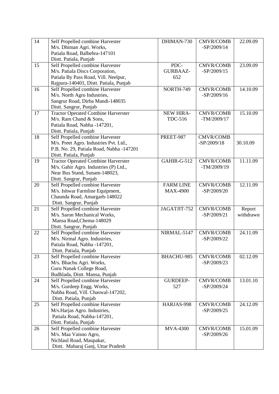| 14 | Self Propelled combine Harvester                                    | DHIMAN-730       | <b>CMVR/COMB</b> | 22.09.09  |
|----|---------------------------------------------------------------------|------------------|------------------|-----------|
|    | M/s. Dhiman Agri. Works,                                            |                  | $-SP/2009/14$    |           |
|    | Patiala Road, Balbehra-147101                                       |                  |                  |           |
|    | Distt. Patiala, Punjab                                              |                  |                  |           |
| 15 | Self Propelled combine Harvester                                    | PDC-             | <b>CMVR/COMB</b> | 23.09.09  |
|    | M/s. Patiala Discs Corporation,                                     | <b>GURBAAZ-</b>  | $-SP/2009/15$    |           |
|    | Patiala By Pass Road, Vill. Neelpur,                                | 652              |                  |           |
|    | Rajpura-140401, Distt. Patiala, Punjab                              |                  |                  |           |
| 16 | Self Propelled combine Harvester                                    | <b>NORTH-749</b> | <b>CMVR/COMB</b> | 14.10.09  |
|    | M/s. North Agro Industries,                                         |                  | $-SP/2009/16$    |           |
|    | Sangrur Road, Dirba Mandi-148035                                    |                  |                  |           |
|    | Distt. Sangrur, Punjab                                              |                  |                  |           |
| 17 | <b>Tractor Operated Combine Harverster</b>                          | <b>NEW HIRA-</b> | <b>CMVR/COMB</b> | 15.10.09  |
|    | M/s. Ram Chand & Sons,                                              | <b>TDC-516</b>   | $-TM/2009/17$    |           |
|    | Patiala Road, Nabha -147201,                                        |                  |                  |           |
|    | Distt. Patiala, Punjab                                              |                  |                  |           |
| 18 | Self Propelled combine Harvester                                    | PREET-987        | <b>CMVR/COMB</b> |           |
|    | M/s. Preet Agro. Industries Pvt. Ltd.,                              |                  | $-SP/2009/18$    | 30.10.09  |
|    | P.B. No. 29, Patiala Road, Nabha -147201                            |                  |                  |           |
|    | Distt. Patiala, Punjab                                              |                  |                  |           |
| 19 | <b>Tractor Operated Combine Harverster</b>                          | GAHIR-G-512      | <b>CMVR/COMB</b> | 11.11.09  |
|    | M/s. Gahir Agro. Industries (P) Ltd.,                               |                  | $-TM/2009/19$    |           |
|    | Near Bus Stand, Sunam-148023,                                       |                  |                  |           |
| 20 | Distt. Sangrur, Punjab                                              | <b>FARM LINE</b> | <b>CMVR/COMB</b> | 12.11.09  |
|    | Self Propelled combine Harvester<br>M/s. Ishwar Farmline Equipment, | <b>MAX-4900</b>  | $-SP/2009/20$    |           |
|    | Chaunda Road, Amargarh-148022                                       |                  |                  |           |
|    | Distt. Sangrur, Punjab                                              |                  |                  |           |
| 21 | Self Propelled combine Harvester                                    | JAGATJIT-752     | <b>CMVR/COMB</b> | Report    |
|    | M/s. Saron Mechanical Works,                                        |                  | $-SP/2009/21$    | withdrawn |
|    | Mansa Road, Chema-148029                                            |                  |                  |           |
|    | Distt. Sangrur, Punjab                                              |                  |                  |           |
| 22 | Self Propelled combine Harvester                                    | NIRMAL-5147      | <b>CMVR/COMB</b> | 24.11.09  |
|    | M/s. Nirmal Agro. Industries,                                       |                  | $-SP/2009/22$    |           |
|    | Patiala Road, Nabha -147201,                                        |                  |                  |           |
|    | Distt. Patiala, Punjab                                              |                  |                  |           |
| 23 | Self Propelled combine Harvester                                    | BHACHU-985       | <b>CMVR/COMB</b> | 02.12.09  |
|    | M/s. Bhachu Agri. Works,                                            |                  | $-SP/2009/23$    |           |
|    | Guru Nanak College Road,                                            |                  |                  |           |
|    | Budhlada, Distt. Mansa, Punjab                                      |                  |                  |           |
| 24 | Self Propelled combine Harvester                                    | <b>GURDEEP-</b>  | <b>CMVR/COMB</b> | 13.01.10  |
|    | M/s. Gurdeep Engg. Works,                                           | 527              | $-SP/2009/24$    |           |
|    | Nabha Road, Vill. Chaswal-147202,                                   |                  |                  |           |
|    | Distt. Patiala, Punjab                                              |                  |                  |           |
| 25 | Self Propelled combine Harvester                                    | HARJAS-998       | <b>CMVR/COMB</b> | 24.12.09  |
|    | M/s.Harjas Agro. Industries,                                        |                  | $-SP/2009/25$    |           |
|    | Patiala Road, Nabha-147201,                                         |                  |                  |           |
|    | Distt. Patiala, Punjab                                              |                  |                  |           |
| 26 | Self Propelled combine Harvester                                    | <b>MVA-4300</b>  | <b>CMVR/COMB</b> | 15.01.09  |
|    | M/s. Maa Vaisno Agro,                                               |                  | $-SP/2009/26$    |           |
|    | Nichlaul Road, Maupakar,                                            |                  |                  |           |
|    | Distt. Maharaj Ganj, Uttar Pradesh                                  |                  |                  |           |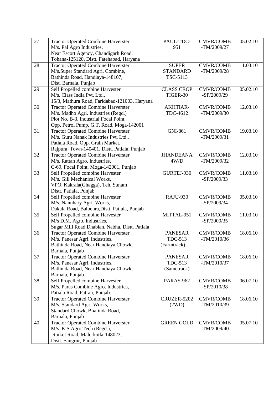| 27 | <b>Tractor Operated Combine Harverster</b>      | PAUL-TDC-         | <b>CMVR/COMB</b> | 05.02.10 |
|----|-------------------------------------------------|-------------------|------------------|----------|
|    | M/s. Pal Agro Industries,                       | 951               | $-TM/2009/27$    |          |
|    | Near Escort Agency, Chandigarh Road,            |                   |                  |          |
|    | Tohana-125120, Distt. Fatehabad, Haryana        |                   |                  |          |
| 28 | <b>Tractor Operated Combine Harverster</b>      | <b>SUPER</b>      | <b>CMVR/COMB</b> | 11.03.10 |
|    | M/s.Super Standard Agri. Combine,               | <b>STANDARD</b>   | $-TM/2009/28$    |          |
|    | Bathinda Road, Handiaya-148107,                 | TSC-5113          |                  |          |
|    | Dist. Barnala, Punjab                           |                   |                  |          |
| 29 | Self Propelled combine Harvester                | <b>CLASS CROP</b> | <b>CMVR/COMB</b> | 05.02.10 |
|    | M/s. Class India Pvt. Ltd.,                     | TIGER-30          | $-SP/2009/29$    |          |
|    | 15/3, Mathura Road, Faridabad-121003, Haryana   |                   |                  |          |
| 30 | <b>Tractor Operated Combine Harverster</b>      | <b>AKHTIAR-</b>   | <b>CMVR/COMB</b> | 12.03.10 |
|    | M/s. Madho Agri. Industries (Regd.)             | TDC-4612          | $-TM/2009/30$    |          |
|    | Plot No. B-3, Industrial Focal Point,           |                   |                  |          |
|    | Opp. Petrol Pump, G.T. Road, Moga-142001        |                   |                  |          |
| 31 | <b>Tractor Operated Combine Harverster</b>      | <b>GNI-861</b>    | <b>CMVR/COMB</b> | 19.03.10 |
|    | M/s. Guru Nanak Industries Pvt. Ltd.,           |                   | $-TM/2009/31$    |          |
|    | Patiala Road, Opp. Grain Market,                |                   |                  |          |
|    | Rajpura Town-140401, Distt. Patiala, Punjab     |                   |                  |          |
| 32 | <b>Tractor Operated Combine Harverster</b>      | <b>JHANDEANA</b>  | <b>CMVR/COMB</b> | 12.03.10 |
|    | M/s. Rattan Agro. Industries,                   | 4W/D              | $-TM/2009/32$    |          |
|    | C-69, Focal Point, Moga-142001, Punjab          |                   |                  |          |
| 33 | Self Propelled combine Harvester                | GURTEJ-930        | <b>CMVR/COMB</b> | 11.03.10 |
|    | M/s. Gill Mechanical Works,                     |                   | $-SP/2009/33$    |          |
|    | VPO. Kakrala(Ghagga), Teh. Sunam                |                   |                  |          |
|    | Distt. Patiala, Punjab                          |                   |                  |          |
| 34 | Self Propelled combine Harvester                | <b>RAJU-930</b>   | <b>CMVR/COMB</b> | 05.03.10 |
|    | M/s. Nannhary Agri. Works,                      |                   | $-SP/2009/34$    |          |
|    | Dakala Road, Balbehra, Distt. Patiala, Punjab   |                   |                  |          |
| 35 | Self Propelled combine Harvester                | MITTAL-951        | <b>CMVR/COMB</b> | 11.03.10 |
|    | M/s D.M. Agro. Industries,                      |                   | $-SP/2009/35$    |          |
|    | Sugar Mill Road, Dhablan, Nabha, Distt. Patiala |                   |                  |          |
| 36 | <b>Tractor Operated Combine Harverster</b>      | <b>PANESAR</b>    | <b>CMVR/COMB</b> | 18.06.10 |
|    | M/s. Panesar Agri. Industries,                  | <b>TDC-513</b>    | $-TM/2010/36$    |          |
|    | Bathinda Road, Near Handiaya Chowk,             | (Farmtrack)       |                  |          |
|    | Barnala, Punjab                                 |                   |                  |          |
| 37 | <b>Tractor Operated Combine Harverster</b>      | <b>PANESAR</b>    | <b>CMVR/COMB</b> | 18.06.10 |
|    | M/s. Panesar Agri. Industries,                  | <b>TDC-513</b>    | $-TM/2010/37$    |          |
|    | Bathinda Road, Near Handiaya Chowk,             | (Sametrack)       |                  |          |
|    | Barnala, Punjab                                 |                   |                  |          |
| 38 | Self Propelled combine Harvester                | PARAS-962         | <b>CMVR/COMB</b> | 06.07.10 |
|    | M/s. Paras Combine Agro. Industries,            |                   | $-SP/2010/38$    |          |
|    | Patiala Road, Patran, Punjab                    |                   |                  |          |
| 39 | <b>Tractor Operated Combine Harverster</b>      | CRUZER-5202       | <b>CMVR/COMB</b> | 18.06.10 |
|    | M/s. Standard Agri. Works,                      | (2WD)             | $-TM/2010/39$    |          |
|    | Standard Chowk, Bhatinda Road,                  |                   |                  |          |
|    | Barnala, Punjab                                 |                   |                  |          |
| 40 | <b>Tractor Operated Combine Harverster</b>      | <b>GREEN GOLD</b> | <b>CMVR/COMB</b> | 05.07.10 |
|    | M/s. K.S.Agro Tech (Regd.),                     |                   | $-TM/2009/40$    |          |
|    | Raikot Road, Malerkotla-148023,                 |                   |                  |          |
|    | Distt. Sangrur, Punjab                          |                   |                  |          |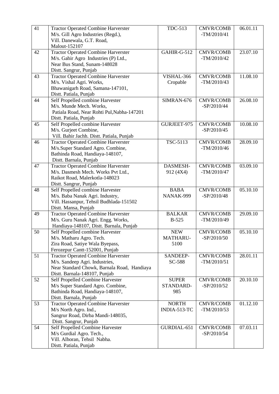| 41 | <b>Tractor Operated Combine Harverster</b>                             | <b>TDC-513</b>            | <b>CMVR/COMB</b>                  | 06.01.11 |
|----|------------------------------------------------------------------------|---------------------------|-----------------------------------|----------|
|    | M/s. Gill Agro Industries (Regd.),                                     |                           | $-TM/2010/41$                     |          |
|    | Vill. Danewala, G.T. Road,                                             |                           |                                   |          |
|    | Malout-152107                                                          |                           |                                   |          |
| 42 | <b>Tractor Operated Combine Harverster</b>                             | GAHIR-G-512               | <b>CMVR/COMB</b>                  | 23.07.10 |
|    | M/s. Gahir Agro Industries (P) Ltd.,                                   |                           | $-TM/2010/42$                     |          |
|    | Near Bus Stand, Sunam-148028                                           |                           |                                   |          |
|    | Distt. Sangrur, Punjab                                                 |                           |                                   |          |
| 43 | <b>Tractor Operated Combine Harverster</b><br>M/s. Vishal Agri. Works, | VISHAL-366                | <b>CMVR/COMB</b><br>$-TM/2010/43$ | 11.08.10 |
|    |                                                                        | Cropable                  |                                   |          |
|    | Bhawanigarh Road, Samana-147101,<br>Distt. Patiala, Punjab             |                           |                                   |          |
| 44 | Self Propelled combine Harvester                                       | SIMRAN-676                | <b>CMVR/COMB</b>                  | 26.08.10 |
|    | M/s. Munde Mech. Works,                                                |                           | $-SP/2010/44$                     |          |
|    | Patiala Road, Near Rohti Pul, Nabha-147201                             |                           |                                   |          |
|    | Distt. Patiala, Punjab                                                 |                           |                                   |          |
| 45 | Self Propelled combine Harvester                                       | GURJEET-975               | <b>CMVR/COMB</b>                  | 10.08.10 |
|    | M/s. Gurjeet Combine,                                                  |                           | $-SP/2010/45$                     |          |
|    | Vill. Bahir Jachh. Distt. Patiala, Punjab                              |                           |                                   |          |
| 46 | <b>Tractor Operated Combine Harverster</b>                             | TSC-5113                  | <b>CMVR/COMB</b>                  | 28.09.10 |
|    | M/s.Super Standard Agro. Combine,                                      |                           | $-TM/2010/46$                     |          |
|    | Bathinda Road, Handiaya-148107,                                        |                           |                                   |          |
|    | Distt. Barnala, Punjab                                                 |                           |                                   |          |
| 47 | <b>Tractor Operated Combine Harverster</b>                             | DASMESH-                  | <b>CMVR/COMB</b>                  | 03.09.10 |
|    | M/s. Dasmesh Mech. Works Pvt Ltd.,                                     | 912 (4X4)                 | $-TM/2010/47$                     |          |
|    | Raikot Road, Malerkotla-148023                                         |                           |                                   |          |
|    | Distt. Sangrur, Punjab                                                 |                           |                                   |          |
| 48 | Self Propelled combine Harvester                                       | <b>BABA</b>               | <b>CMVR/COMB</b>                  | 05.10.10 |
|    | M/s. Baba Nanak Agri. Industry,                                        | NANAK-999                 | $-SP/2010/48$                     |          |
|    | Vill. Hassanpur, Tehsil Budhlada-151502                                |                           |                                   |          |
|    | Distt. Mansa, Punjab                                                   |                           |                                   |          |
| 49 | <b>Tractor Operated Combine Harverster</b>                             | <b>BALKAR</b>             | <b>CMVR/COMB</b>                  | 29.09.10 |
|    | M/s. Guru Nanak Agri. Engg. Works,                                     | <b>B-525</b>              | $-TM/2010/49$                     |          |
|    | Handiaya-148107, Distt. Barnala, Punjab                                |                           |                                   |          |
| 50 | Self Propelled combine Harvester                                       | <b>NEW</b>                | <b>CMVR/COMB</b>                  | 05.10.10 |
|    | M/s. Matharu Agro. Tech.                                               | <b>MATHARU-</b>           | $-SP/2010/50$                     |          |
|    | Zira Road, Satiye Wala Byepass,                                        | 5100                      |                                   |          |
|    | Ferozepur Cantt-152001, Punjab                                         |                           |                                   |          |
| 51 | <b>Tractor Operated Combine Harverster</b>                             | SANDEEP-                  | <b>CMVR/COMB</b>                  | 28.01.11 |
|    | M/s. Sandeep Agri. Industries,                                         | SC-588                    | $-TM/2010/51$                     |          |
|    | Near Standard Chowk, Barnala Road, Handiaya                            |                           |                                   |          |
| 52 | Distt. Barnala-148107, Punjab                                          |                           |                                   |          |
|    | Self Propelled Combine Harvester                                       | <b>SUPER</b><br>STANDARD- | <b>CMVR/COMB</b><br>$-SP/2010/52$ | 20.10.10 |
|    | M/s Super Standard Agro. Combine,<br>Bathinda Road, Handiaya-148107,   | 985                       |                                   |          |
|    | Distt. Barnala, Punjab                                                 |                           |                                   |          |
| 53 | <b>Tractor Operated Combine Harverster</b>                             | <b>NORTH</b>              | <b>CMVR/COMB</b>                  | 01.12.10 |
|    | M/s North Agro. Ind.,                                                  | INDIA-513-TC              | $-TM/2010/53$                     |          |
|    | Sangrur Road, Dirba Mandi-148035,                                      |                           |                                   |          |
|    | Distt. Sangrur, Punjab                                                 |                           |                                   |          |
| 54 | Self Propelled Combine Harvester                                       | GURDIAL-651               | <b>CMVR/COMB</b>                  | 07.03.11 |
|    | M/s Gurdial Agro. Tech.,                                               |                           | $-SP/2010/54$                     |          |
|    | Vill. Alhoran, Tehsil Nabha.                                           |                           |                                   |          |
|    | Distt. Patiala, Punjab                                                 |                           |                                   |          |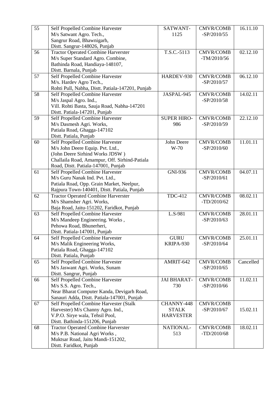| 55 | Self Propelled Combine Harvester                                    | SATWANT-           | <b>CMVR/COMB</b> | 16.11.10  |
|----|---------------------------------------------------------------------|--------------------|------------------|-----------|
|    | M/s Satwant Agro. Tech.,                                            | 1125               | $-SP/2010/55$    |           |
|    | Sangrur Road, Bhawnigarh,                                           |                    |                  |           |
|    | Distt. Sangrur-148026, Punjab                                       |                    |                  |           |
| 56 | <b>Tractor Operated Combine Harverster</b>                          | T.S.C.-5113        | <b>CMVR/COMB</b> | 02.12.10  |
|    | M/s Super Standard Agro. Combine,                                   |                    | $-TM/2010/56$    |           |
|    | Bathinda Road, Handiaya-148107,                                     |                    |                  |           |
|    | Distt. Barnala, Punjab                                              |                    |                  |           |
| 57 | Self Propelled Combine Harvester                                    | HARDEV-930         | <b>CMVR/COMB</b> | 06.12.10  |
|    | M/s. Hardev Agro Tech.,                                             |                    | $-SP/2010/57$    |           |
|    | Rohti Pull, Nabha, Distt. Patiala-147201, Punjab                    |                    |                  |           |
| 58 | Self Propelled Combine Harvester                                    | JASPAL-945         | <b>CMVR/COMB</b> | 14.02.11  |
|    | M/s Jaspal Agro. Ind.,                                              |                    | $-SP/2010/58$    |           |
|    | Vill. Rohti Basta, Sauja Road, Nabha-147201                         |                    |                  |           |
|    | Distt. Patiala-147201, Punjab                                       |                    |                  |           |
| 59 | Self Propelled Combine Harvester                                    | <b>SUPER HIRO-</b> | <b>CMVR/COMB</b> | 22.12.10  |
|    | M/s Dasmesh Agri. Works,                                            | 986                | $-SP/2010/59$    |           |
|    | Patiala Road, Ghagga-147102                                         |                    |                  |           |
|    | Distt. Patiala, Punjab                                              |                    |                  |           |
| 60 | Self Propelled Combine Harvester                                    | John Deere         | <b>CMVR/COMB</b> | 11.01.11  |
|    | M/s John Deere Equip. Pvt. Ltd.,                                    | $W-70$             | $-SP/2010/60$    |           |
|    | (John Deere Sirhind Works JDSW)                                     |                    |                  |           |
|    | Challaila Road, Amampur, Off. Sirhind-Patiala                       |                    |                  |           |
|    | Road, Distt. Patiala-147001, Punjab                                 |                    |                  |           |
| 61 | Self Propelled Combine Harvester                                    | <b>GNI-936</b>     | <b>CMVR/COMB</b> | 04.07.11  |
|    | M/s Guru Nanak Ind. Pvt. Ltd.,                                      |                    | $-SP/2010/61$    |           |
|    | Patiala Road, Opp. Grain Market, Neelpur,                           |                    |                  |           |
|    | Rajpura Town-140401, Distt. Patiala, Punjab                         |                    |                  |           |
| 62 | <b>Tractor Operated Combine Harverster</b>                          | <b>TDC-412</b>     | <b>CMVR/COMB</b> | 08.02.11  |
|    | M/s Shamsher Agri. Works,                                           |                    | $-TD/2010/62$    |           |
|    | Baja Road, Jaitu-151202, Faridkot, Punjab                           |                    |                  |           |
| 63 | Self Propelled Combine Harvester<br>M/s Mandeep Engineering. Works, | L.S-981            | <b>CMVR/COMB</b> | 28.01.11  |
|    | Pehowa Road, Bhunerheri,                                            |                    | $-SP/2010/63$    |           |
|    | Distt. Patiala-147001, Punjab                                       |                    |                  |           |
| 64 | Self Propelled Combine Harvester                                    | <b>GURU</b>        | <b>CMVR/COMB</b> | 25.01.11  |
|    | M/s Malik Engineering Works,                                        | KRIPA-930          | $-SP/2010/64$    |           |
|    | Patiala Road, Ghagga-147102                                         |                    |                  |           |
|    | Distt. Patiala, Punjab                                              |                    |                  |           |
| 65 | Self Propelled Combine Harvester                                    | AMRIT-642          | <b>CMVR/COMB</b> | Cancelled |
|    | M/s Jaswant Agri. Works, Sunam                                      |                    | $-SP/2010/65$    |           |
|    | Distt. Sangrur, Punjab                                              |                    |                  |           |
| 66 | Self Propelled Combine Harvester                                    | <b>JAI BHARAT-</b> | <b>CMVR/COMB</b> | 11.02.11  |
|    | M/s S.S. Agro. Tech.,                                               | 730                | $-SP/2010/66$    |           |
|    | Near Bharat Computer Kanda, Devigarh Road,                          |                    |                  |           |
|    | Sanauri Adda, Distt. Patiala-147001, Punjab                         |                    |                  |           |
| 67 | Self Propelled Combine Harvester (Stalk                             | CHANNY-448         | <b>CMVR/COMB</b> |           |
|    | Harvester) M/s Channy Agro. Ind.,                                   | <b>STALK</b>       | $-SP/2010/67$    | 15.02.11  |
|    | V.P.O. Sirye wala, Tehsil Pool,                                     | <b>HARVESTER</b>   |                  |           |
|    | Distt. Bathinda-151206, Punjab                                      |                    |                  |           |
| 68 | <b>Tractor Operated Combine Harverster</b>                          | NATIONAL-          | <b>CMVR/COMB</b> | 18.02.11  |
|    | M/s P.B. National Agri Works,                                       | 513                | $-TD/2010/68$    |           |
|    | Muktsar Road, Jaitu Mandi-151202,                                   |                    |                  |           |
|    | Distt. Faridkot, Punjab                                             |                    |                  |           |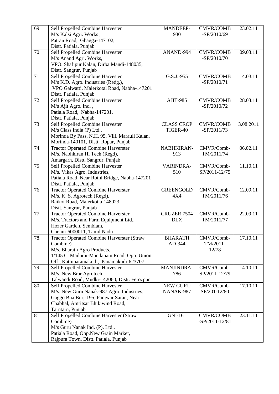| 69  | Self Propelled Combine Harvester                  | <b>MANDEEP-</b>   | <b>CMVR/COMB</b>   | 23.02.11  |
|-----|---------------------------------------------------|-------------------|--------------------|-----------|
|     | M/s Kalsi Agri. Works,                            | 930               | $-SP/2010/69$      |           |
|     | Patran Road, Ghagga-147102,                       |                   |                    |           |
|     | Distt. Patiala, Punjab                            |                   |                    |           |
| 70  | Self Propelled Combine Harvester                  | ANAND-994         | <b>CMVR/COMB</b>   | 09.03.11  |
|     | M/s Anand Agri. Works,                            |                   | $-SP/2010/70$      |           |
|     | VPO. Shafipur Kalan, Dirba Mandi-148035,          |                   |                    |           |
|     | Distt. Sangrur, Punjab                            |                   |                    |           |
| 71  | Self Propelled Combine Harvester                  | G.S.J.-955        | <b>CMVR/COMB</b>   | 14.03.11  |
|     | M/s K.D. Agro. Industries (Redg.),                |                   | $-SP/2010/71$      |           |
|     | VPO Galwatti, Malerkotal Road, Nabha-147201       |                   |                    |           |
|     | Distt. Patiala, Punjab                            |                   |                    |           |
| 72  | Self Propelled Combine Harvester                  | AJIT-985          | <b>CMVR/COMB</b>   | 28.03.11  |
|     | M/s Ajit Agro. Ind.,                              |                   | $-SP/2010/72$      |           |
|     | Patiala Road, Nabha-147201,                       |                   |                    |           |
|     | Distt. Patiala, Punjab                            |                   |                    |           |
| 73  | Self Propelled Combine Harvester                  | <b>CLASS CROP</b> | <b>CMVR/COMB</b>   | 3.08.2011 |
|     | M/s Class India (P) Ltd.,                         | TIGER-40          | $-SP/2011/73$      |           |
|     | Morinda By Pass, N.H. 95, Vill. Marauli Kalan,    |                   |                    |           |
|     | Morinda-140101, Distt. Ropar, Punjab              |                   |                    |           |
| 74. | <b>Tractor Operated Combine Harverster</b>        | NABHKIRAN-        | CMVR/Comb-         | 06.02.11  |
|     | M/s. Nabhkiran Hi Tech (Regd),                    | 913               | TM/2011/74         |           |
|     | Amargarh, Distt. Sangrur, Punjab                  |                   |                    |           |
| 75  | Self Propelled Combine Harvester                  | VARINDRA-         | CMVR/Comb-         | 11.10.11  |
|     | M/s. Vikas Agro. Industries,                      | 510               | SP/2011-12/75      |           |
|     | Patiala Road, Near Rothi Bridge, Nabha-147201     |                   |                    |           |
|     | Distt. Patiala, Punjab                            |                   |                    |           |
| 76  | <b>Tractor Operated Combine Harverster</b>        | <b>GREENGOLD</b>  | CMVR/Comb-         | 12.09.11  |
|     | M/s. K. S. Agrotech (Regd),                       | 4X4               | TM/2011/76         |           |
|     | Raikot Road, Malerkotla-148023,                   |                   |                    |           |
|     | Distt. Sangrur, Punjab                            |                   |                    |           |
| 77  | <b>Tractor Operated Combine Harverster</b>        | CRUZER 7504       | CMVR/Comb-         | 22.09.11  |
|     | M/s. Tractors and Farm Equipment Ltd.,            | <b>DLX</b>        | TM/2011/77         |           |
|     | Hozer Garden, Sembiam,                            |                   |                    |           |
|     | Chenni-6000011, Tamil Nadu                        |                   |                    |           |
| 78. | <b>Tractor Operated Combine Harverster (Straw</b> | <b>BHARATH</b>    | CMVR/Comb-         | 17.10.11  |
|     | Combine)                                          | AD-344            | TM/2011-           |           |
|     | M/s. Bharath Agro Products,                       |                   | 12/78              |           |
|     | 1/145 C, Madurai-Mandapam Road, Opp. Union        |                   |                    |           |
|     | Off., Kattuparamakudi, Panamakudi-623707          |                   |                    |           |
| 79. | Self Propelled Combine Harvester                  | MANJINDRA-        | CMVR/Comb-         | 14.10.11  |
|     | M/s. New Brar Agrotech,                           | 786               | SP/2011-12/79      |           |
|     | Talwandi Road, Mudki-142060, Distt. Ferozpur      |                   |                    |           |
| 80. | Self Propelled Combine Harvester                  | <b>NEW GURU</b>   | CMVR/Comb-         | 17.10.11  |
|     | M/s. New Guru Nanak-987 Agro. Industries,         | NANAK-987         | SP/201-12/80       |           |
|     | Gaggo Bua Burj-195, Panjwar Saran, Near           |                   |                    |           |
|     | Chabhal, Amritsar Bhikiwind Road,                 |                   |                    |           |
|     | Tarntarn, Punjab                                  |                   |                    |           |
| 81  | Self Propelled Combine Harvester (Straw           | <b>GNI-161</b>    | <b>CMVR/COMB</b>   | 23.11.11  |
|     | Combine)                                          |                   | $-SP/2011 - 12/81$ |           |
|     | M/s Guru Nanak Ind. (P). Ltd.,                    |                   |                    |           |
|     | Patiala Road, Opp.New Grain Market,               |                   |                    |           |
|     | Rajpura Town, Distt. Patiala, Punjab              |                   |                    |           |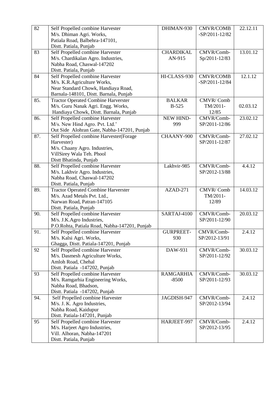| 82  | Self Propelled combine Harvester              | DHIMAN-930       | <b>CMVR/COMB</b>   | 22.12.11 |
|-----|-----------------------------------------------|------------------|--------------------|----------|
|     | M/s. Dhiman Agri. Works,                      |                  | $-SP/2011 - 12/82$ |          |
|     | Patiala Road, Balbehra-147101,                |                  |                    |          |
|     | Distt. Patiala, Punjab                        |                  |                    |          |
| 83  | Self Propelled combine Harvester              | <b>CHARDIKAL</b> | CMVR/Comb-         | 13.01.12 |
|     | M/s. Chardikalan Agro. Industries,            | AN-915           | Sp/2011-12/83      |          |
|     | Nabha Road, Chaswal-147202                    |                  |                    |          |
|     | Distt. Patiala, Punjab                        |                  |                    |          |
| 84  | Self Propelled combine Harvester              | HI-CLASS-930     | <b>CMVR/COMB</b>   | 12.1.12  |
|     | M/s. K.R.Agriculture Works,                   |                  | $-SP/2011 - 12/84$ |          |
|     | Near Standard Chowk, Handiaya Road,           |                  |                    |          |
|     | Barnala-148101, Distt. Barnala, Punjab        |                  |                    |          |
| 85. | <b>Tractor Operated Combine Harverster</b>    | <b>BALKAR</b>    | CMVR/Comb          |          |
|     | M/s. Guru Nanak Agri. Engg. Works,            | B-525            | TM/2011-           | 02.03.12 |
|     | Handiaya Chowk, Distt. Barnala, Punjab        |                  | 12/85              |          |
| 86. | Self Propelled combine Harvester              | <b>NEW HIND-</b> | CMVR/Comb-         | 23.02.12 |
|     | M/s. New Hind Agro. Pvt. Ltd.'                | 999              | SP/2011-12/86      |          |
|     | Out Side Alohran Gate, Nabha-147201, Punjab   |                  |                    |          |
| 87. | Self Propelled combine Harvester(Forage       | CHAANY-900       | CMVR/Comb-         | 27.02.12 |
|     | Harvester)                                    |                  | SP/2011-12/87      |          |
|     | M/s. Chaany Agro. Industries,                 |                  |                    |          |
|     | VillSirey Wala Teh. Phool                     |                  |                    |          |
|     | Distt Bhatinda, Punjab                        |                  |                    |          |
| 88. | Self Propelled combine Harvester              | Lakhvir-985      | CMVR/Comb-         | 4.4.12   |
|     | M/s. Lakhvir Agro. Industries,                |                  | SP/2012-13/88      |          |
|     | Nabha Road, Chaswal-147202                    |                  |                    |          |
|     | Distt. Patiala, Punjab                        |                  |                    |          |
| 89. | <b>Tractor Operated Combine Harverster</b>    | $AZAD-271$       | CMVR/Comb          | 14.03.12 |
|     | M/s. Azad Metals Pvt. Ltd.,                   |                  | TM/2011-           |          |
|     | Narwan Road, Patran-147105                    |                  | 12/89              |          |
|     | Distt. Patiala, Punjab                        |                  |                    |          |
| 90. | Self Propelled combine Harvester              | SARTAJ-4100      | CMVR/Comb-         | 20.03.12 |
|     | M/s. J.K.Agro Industries,                     |                  | SP/2011-12/90      |          |
|     | P.O.Rohta, Patiala Road, Nabha-147201, Punjab |                  |                    |          |
| 91. | Self Propelled combine Harvester              | <b>GURPREET-</b> | CMVR/Comb-         | 2.4.12   |
|     | M/s. Kalsi Agri. Works,                       | 930              | SP/2012-13/91      |          |
|     | Ghagga, Distt. Patiala-147201, Punjab         |                  |                    |          |
| 92  | Self Propelled combine Harvester              | DAW-931          | CMVR/Comb-         | 30.03.12 |
|     | M/s. Dasmesh Agriculture Works,               |                  | SP/2011-12/92      |          |
|     | Amloh Road, Chehal                            |                  |                    |          |
|     | Distt. Patiala -147202, Punjab                |                  |                    |          |
| 93  | Self Propelled combine Harvester              | <b>RAMGARHIA</b> | CMVR/Comb-         | 30.03.12 |
|     | M/s. Ramgarhia Engineering Works,             | $-8500$          | SP/2011-12/93      |          |
|     | Nabha Road, Bhadson,                          |                  |                    |          |
|     | Distt. Patiala -147202, Punjab                |                  |                    |          |
| 94. | Self Propelled combine Harvester              | JAGDISH-947      | CMVR/Comb-         | 2.4.12   |
|     | M/s. J. K. Agro Industries,                   |                  | SP/2012-13/94      |          |
|     | Nabha Road, Kaidupur                          |                  |                    |          |
|     | Distt. Patiala-147201, Punjab                 |                  |                    |          |
| 95  | Self Propelled combine Harvester              | HARJEET-997      | CMVR/Comb-         | 2.4.12   |
|     | M/s. Harjeet Agro Industries,                 |                  | SP/2012-13/95      |          |
|     | Vill. Alhoran, Nabha-147201                   |                  |                    |          |
|     | Distt. Patiala, Punjab                        |                  |                    |          |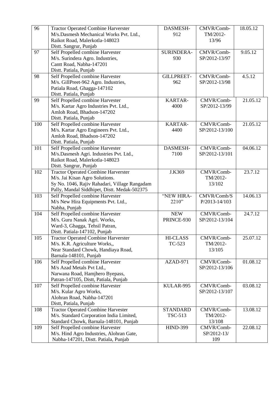| 96  | <b>Tractor Operated Combine Harverster</b>    | DASMESH-          | CMVR/Comb-     | 18.05.12 |
|-----|-----------------------------------------------|-------------------|----------------|----------|
|     | M/s.Dasmesh Mechanical Works Pvt. Ltd.,       | 912               | TM/2012-       |          |
|     | Raikot Road, Malerkotla-148023                |                   | 13/96          |          |
|     | Distt. Sangrur, Punjab                        |                   |                |          |
| 97  | Self Propelled combine Harvester              | SURINDERA-        | CMVR/Comb-     | 9.05.12  |
|     | M/s. Surindera Agro. Industries,              | 930               | SP/2012-13/97  |          |
|     | Cantt Road, Nabha-147201                      |                   |                |          |
|     | Distt. Patiala, Punjab                        |                   |                |          |
| 98  | Self Propelled combine Harvester              | <b>GILLPREET-</b> | CMVR/Comb-     | 4.5.12   |
|     | M/s. GillPreet-962 Agro. Industries,          | 962               | SP/2012-13/98  |          |
|     | Patiala Road, Ghagga-147102                   |                   |                |          |
|     | Distt. Patiala, Punjab                        |                   |                |          |
| 99  | Self Propelled combine Harvester              | <b>KARTAR-</b>    | CMVR/Comb-     | 21.05.12 |
|     | M/s. Kartar Agro Industries Pvt. Ltd.,        | 4000              | SP/2012-13/99  |          |
|     | Amloh Road, Bhadson-147202                    |                   |                |          |
|     | Distt. Patiala, Punjab                        |                   |                |          |
| 100 | Self Propelled combine Harvester              | KARTAR-           | CMVR/Comb-     | 21.05.12 |
|     | M/s. Kartar Agro Engineers Pvt. Ltd.,         | 4400              | SP/2012-13/100 |          |
|     | Amloh Road, Bhadson-147202                    |                   |                |          |
|     | Distt. Patiala, Punjab                        |                   |                |          |
| 101 | Self Propelled combine Harvester              | DASMESH-          | CMVR/Comb-     | 04.06.12 |
|     | M/s.Dasmesh Agri. Industries Pvt. Ltd.,       | 7100              | SP/2012-13/101 |          |
|     | Raikot Road, Malerkotla-148023                |                   |                |          |
|     | Distt. Sangrur, Punjab                        |                   |                |          |
| 102 | <b>Tractor Operated Combine Harverster</b>    | J.K369            | CMVR/Comb-     | 23.7.12  |
|     | M/s. Jai Kisan Agro Solutions.                |                   | TM/2012-       |          |
|     | Sy No. 1046, Rajiv Rahadari, Village Rangadam |                   | 13/102         |          |
|     | Pally, Mandal Siddhipet, Distt. Medak-502375  |                   |                |          |
| 103 | Self Propelled combine Harvester              | "NEW HIRA-        | CMVR/Comb/S    | 14.06.13 |
|     | M/s New Hira Equipments Pvt. Ltd.,            | 2210"             | P/2013-14/103  |          |
|     | Nabha, Punjab                                 |                   |                |          |
| 104 | Self Propelled combine Harvester              | <b>NEW</b>        | CMVR/Comb-     | 24.7.12  |
|     | M/s. Guru Nanak Agri. Works,                  | PRINCE-930        | SP/2012-13/104 |          |
|     | Ward-3, Ghagga, Tehsil Patran,                |                   |                |          |
|     | Distt. Patiala-147102, Punjab                 |                   |                |          |
| 105 | <b>Tractor Operated Combine Harverster</b>    | <b>HI-CLASS</b>   | CMVR/Comb-     | 25.07.12 |
|     | M/s. K.R. Agriculture Works,,                 | TC-523            | TM/2012-       |          |
|     | Near Standard Chowk, Handiaya Road,           |                   | 13/105         |          |
|     | Barnala-148101, Punjab                        |                   |                |          |
| 106 | Self Propelled combine Harvester              | AZAD-971          | CMVR/Comb-     | 01.08.12 |
|     | M/s Azad Metals Pvt Ltd.,                     |                   | SP/2012-13/106 |          |
|     | Narwana Road, Hamjhero Byepass,               |                   |                |          |
|     | Patran-147105, Distt, Patiala, Punjab         |                   |                |          |
| 107 | Self Propelled combine Harvester              | KULAR-995         | CMVR/Comb-     | 03.08.12 |
|     | M/s. Kular Agro Works,                        |                   | SP/2012-13/107 |          |
|     | Alohran Road, Nabha-147201                    |                   |                |          |
|     | Distt, Patiala, Punjab                        |                   |                |          |
| 108 | <b>Tractor Operated Combine Harvester</b>     | <b>STANDARD</b>   | CMVR/Comb-     | 13.08.12 |
|     | M/s. Standard Corporation India Limited,      | <b>TSC-513</b>    | TM/2012-       |          |
|     | Standard Chowk, Barnala-148101, Punjab        |                   | 13/108         |          |
| 109 | Self Propelled combine Harvester              | <b>HIND-399</b>   | CMVR/Comb-     | 22.08.12 |
|     | M/s. Hind Agro Industries, Alohran Gate,      |                   | SP/2012-13/    |          |
|     | Nabha-147201, Distt. Patiala, Punjab          |                   | 109            |          |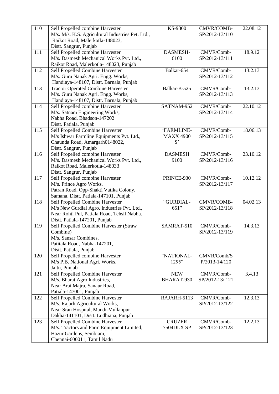| 110 | Self Propelled combine Harvester                                     | KS-9300          | CMVR/COMB-        | 22.08.12 |
|-----|----------------------------------------------------------------------|------------------|-------------------|----------|
|     | M/s. M/s. K.S. Agricultural Industries Pvt. Ltd.,                    |                  | SP/2012-13/110    |          |
|     | Raikot Road, Malerkotla-148023,                                      |                  |                   |          |
|     | Distt. Sangrur, Punjab                                               |                  |                   |          |
| 111 | Self Propelled combine Harvester                                     | DASMESH-         | CMVR/Comb-        | 18.9.12  |
|     | M/s. Dasmesh Mechanical Works Pvt. Ltd.,                             | 6100             | SP/2012-13/111    |          |
|     | Raikot Road, Malerkotla-148023, Punjab                               |                  |                   |          |
| 112 | Self Propelled Combine Harvester                                     | Balkar-654       | CMVR/Comb-        | 13.2.13  |
|     | M/s. Guru Nanak Agri. Engg. Works,                                   |                  | SP/2012-13/112    |          |
|     | Handiaya-148107, Distt. Barnala, Punjab                              |                  |                   |          |
| 113 | <b>Tractor Operated Combine Harvester</b>                            | Balkar-B-525     | CMVR/Comb-        | 13.2.13  |
|     | M/s. Guru Nanak Agri. Engg. Works,                                   |                  | SP/2012-13/113    |          |
|     | Handiaya-148107, Distt. Barnala, Punjab                              |                  |                   |          |
| 114 | Self Propelled combine Harvester                                     | SATNAM-952       | CMVR/Comb-        | 22.10.12 |
|     | M/s. Satnam Engineering Works,                                       |                  | SP/2012-13/114    |          |
|     | Nabha Road, Bhadson-147202                                           |                  |                   |          |
|     | Distt. Patiala, Punjab                                               |                  |                   |          |
| 115 | Self Propelled Combine Harvester                                     | 'FARMLINE-       | CMVR/Comb-        | 18.06.13 |
|     | M/s Ishwar Farmline Equipments Pvt. Ltd.,                            | <b>MAXX 4900</b> | SP/2012-13/115    |          |
|     | Chaunda Road, Amargarh0148022,                                       | S                |                   |          |
|     | Distt. Sangrur, Punjab                                               |                  |                   |          |
| 116 | Self Propelled combine Harvester                                     | <b>DASMESH</b>   | CMVR/Comb-        | 23.10.12 |
|     | M/s. Dasmesh Mechanical Works Pvt. Ltd.,                             | 9100             | SP/2012-13/116    |          |
|     | Raikot Road, Malerkotla-148033                                       |                  |                   |          |
|     | Distt. Sangrur, Punjab                                               |                  |                   |          |
| 117 | Self Propelled combine Harvester                                     | PRINCE-930       | CMVR/Comb-        | 10.12.12 |
|     | M/s. Prince Agro Works,                                              |                  | SP/2012-13/117    |          |
|     | Patran Road, Opp-Shakti Vatika Colony,                               |                  |                   |          |
|     | Samana, Distt. Patiala-147101, Punjab                                |                  |                   |          |
| 118 | Self Propelled Combine Harvester                                     | "GURDIAL-        | CMVR/COMB-        | 04.02.13 |
|     | M/s New Gurdial Agro. Industries Pvt. Ltd.,                          | 651"             | SP/2012-13/118    |          |
|     | Near Rohti Pul, Patiala Road, Tehsil Nabha.                          |                  |                   |          |
|     | Distt. Patiala-147201, Punjab                                        |                  |                   |          |
| 119 | Self Propelled Combine Harvester (Straw                              | SAMRAT-510       | CMVR/Comb-        | 14.3.13  |
|     | Combine)                                                             |                  | SP/2012-13/119    |          |
|     | M/s. Sansar Combines,                                                |                  |                   |          |
|     | Patitala Road, Nabha-147201,                                         |                  |                   |          |
|     | Distt. Patiala, Punjab                                               |                  |                   |          |
| 120 | Self Propelled combine Harvester                                     | "NATIONAL-       | CMVR/Comb/S       |          |
|     | M/s P.B. National Agri. Works,                                       | 1295"            | $P/2013 - 14/120$ |          |
|     | Jaitu, Punjab                                                        |                  |                   |          |
| 121 | Self Propelled Combine Harvester                                     | <b>NEW</b>       | CMVR/Comb-        | 3.4.13   |
|     | M/s. Bharat Agro Industries,                                         | BHARAT-930       | SP/2012-13/121    |          |
|     | Near Arai Majra, Sanaur Road,                                        |                  |                   |          |
|     | Patiala-147001, Punjab                                               |                  |                   |          |
| 122 | Self Propelled Combine Harvester                                     | RAJARH-5113      | CMVR/Comb-        | 12.3.13  |
|     | M/s. Rajarh Agricultural Works,                                      |                  | SP/2012-13/122    |          |
|     | Near Sran Hospital, Mandi-Mullanpur                                  |                  |                   |          |
|     | Dakha-141101, Distt. Ludhiana, Punjab                                |                  |                   |          |
| 123 | Self Propelled Combine Harvester                                     | <b>CRUZER</b>    | CMVR/Comb-        | 12.2.13  |
|     | M/s. Tractors and Farm Equipment Limited,<br>Hazur Gardens, Sembiam, | 7504DLX SP       | SP/2012-13/123    |          |
|     | Chennai-600011, Tamil Nadu                                           |                  |                   |          |
|     |                                                                      |                  |                   |          |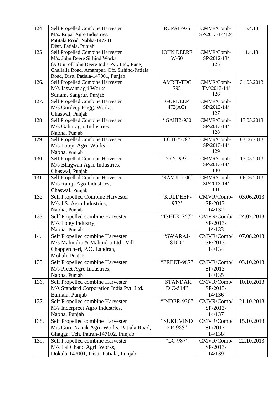| 124  | Self Propelled Combine Harvester                                                              | RUPAL-975         | CMVR/Comb-     | 5.4.13     |
|------|-----------------------------------------------------------------------------------------------|-------------------|----------------|------------|
|      | M/s. Rupal Agro Industries,                                                                   |                   | SP/2013-14/124 |            |
|      | Patitala Road, Nabha-147201                                                                   |                   |                |            |
|      | Distt. Patiala, Punjab                                                                        |                   |                |            |
| 125  | Self Propelled Combine Harvester                                                              | <b>JOHN DEERE</b> | CMVR/Comb-     | 1.4.13     |
|      | M/s. John Deere Sirhind Works                                                                 | $W-50$            | SP/2012-13/    |            |
|      | (A Unit of John Deere India Pvt. Ltd., Pune)<br>Challalla Road, Amampur, Off. Sirhind-Patiala |                   | 125            |            |
|      | Road, Distt. Patiala-147001, Punjab                                                           |                   |                |            |
| 126. | Self Propelled Combine Harvester                                                              | <b>AMRIT-TDC</b>  | CMVR/Comb-     | 31.05.2013 |
|      | M/s Jaswant agri Works,                                                                       | 795               | TM/2013-14/    |            |
|      | Sunam, Sangrur, Punjab                                                                        |                   | 126            |            |
| 127. | Self Propelled Combine Harvester                                                              | <b>GURDEEP</b>    | CMVR/Comb-     |            |
|      | M/s Gurdeep Engg. Works,                                                                      | 472(AC)           | SP/2013-14/    |            |
|      | Chaswal, Punjab                                                                               |                   | 127            |            |
| 128  | Self Propelled Combine Harvester                                                              | GAHIR-930         | CMVR/Comb-     | 17.05.2013 |
|      | M/s Gahir agri. Industries,                                                                   |                   | SP/2013-14/    |            |
|      | Nabha, Punjab                                                                                 |                   | 128            |            |
| 129  | Self Propelled Combine Harvester                                                              | 'LOTEY-787'       | CMVR/Comb-     | 03.06.2013 |
|      | M/s Lotey Agri. Works,                                                                        |                   | SP/2013-14/    |            |
|      | Nabha, Punjab                                                                                 |                   | 129            |            |
| 130. | Self Propelled Combine Harvester                                                              | 'G.N.-995'        | CMVR/Comb-     | 17.05.2013 |
|      | M/s Bhagwan Agri. Industries,                                                                 |                   | SP/2013-14/    |            |
|      | Chaswal, Punjab                                                                               |                   | 130            |            |
| 131  | Self Propelled Combine Harvester                                                              | 'RAMJI-5100'      | CMVR/Comb-     | 06.06.2013 |
|      | M/s Ramji Ago Industries,                                                                     |                   | SP/2013-14/    |            |
|      | Chaswal, Punjab                                                                               |                   | 131            |            |
| 132  | Self Propelled Combine Harvester                                                              | 'KULDEEP-         | CMVR/Comb-     | 03.06.2013 |
|      | M/s J.S. Agro Industries,                                                                     | 932'              | SP/2013-       |            |
|      | Nabha, Punjab                                                                                 |                   | 14/132         |            |
| 133  | Self Propelled combine Harvester                                                              | "ISHER-767"       | CMVR/Comb/     | 24.07.2013 |
|      | M/s Lotey Industry,                                                                           |                   | SP/2013-       |            |
|      | Nabha, Punjab                                                                                 |                   | 14/133         |            |
| 14.  | Self Propelled combine Harvester                                                              | "SWARAJ-          | CMVR/Comb/     | 07.08.2013 |
|      | M/s Mahindra & Mahindra Ltd., Vill.                                                           | 8100"             | SP/2013-       |            |
|      | Chappercheri, P.O. Landran,                                                                   |                   | 14/134         |            |
|      | Mohali, Punjab                                                                                |                   |                |            |
| 135  | Self Propelled combine Harvester                                                              | "PREET-987"       | CMVR/Comb/     | 03.10.2013 |
|      | M/s Preet Agro Industries,                                                                    |                   | SP/2013-       |            |
|      | Nabha, Punjab                                                                                 |                   | 14/135         |            |
| 136. | Self Propelled combine Harvester                                                              | "STANDAR          | CMVR/Comb/     | 10.10.2013 |
|      | M/s Standard Corporation India Pvt. Ltd.,                                                     | D C-514"          | SP/2013-       |            |
|      | Barnala, Punjab                                                                               |                   | 14/136         |            |
| 137. | Self Propelled combine Harvester                                                              | "INDER-930"       | CMVR/Comb/     | 21.10.2013 |
|      | M/s Inderpreet Agro Industries,                                                               |                   | SP/2013-       |            |
|      | Nabha, Punjab                                                                                 |                   | 14/137         |            |
| 138. | Self Propelled combine Harvester                                                              | "SUKHVIND         | CMVR/Comb/     | 15.10.2013 |
|      | M/s Guru Nanak Agri. Works, Patiala Road,                                                     | ER-985"           | SP/2013-       |            |
|      | Ghagga, Teh. Patran-147102, Punjab                                                            |                   | 14/138         |            |
| 139. | Self Propelled combine Harvester                                                              | "LC-987"          | CMVR/Comb/     | 22.10.2013 |
|      | M/s Lal Chand Agri. Works,                                                                    |                   | SP/2013-       |            |
|      | Dokala-147001, Distt. Patiala, Punjab                                                         |                   | 14/139         |            |
|      |                                                                                               |                   |                |            |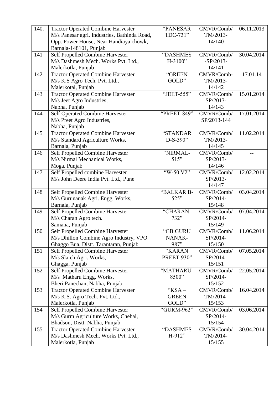| 140. | <b>Tractor Operated Combine Harvester</b>    | "PANESAR     | CMVR/Comb/  | 06.11.2013 |
|------|----------------------------------------------|--------------|-------------|------------|
|      | M/s Panesar agri. Industries, Bathinda Road, | TDC-731"     | TM/2013-    |            |
|      | Opp. Power House, Near Handiaya chowk,       |              | 14/140      |            |
|      | Barnala-148101, Punjab                       |              |             |            |
| 141  | Self Propelled Combine Harvester             | "DASHMES     | CMVR/Comb/  | 30.04.2014 |
|      | M/s Dashmesh Mech. Works Pvt. Ltd.,          | $H-3100"$    | $-SP/2013-$ |            |
|      | Malerkotla, Punjab                           |              | 14/141      |            |
| 142  | <b>Tractor Operated Combine Harvester</b>    | "GREEN       | CMVR/Comb-  | 17.01.14   |
|      | M/s K.S Agro Tech. Pvt. Ltd.,                | GOLD"        | TM/2013-    |            |
|      | Malerkotal, Punjab                           |              | 14/142      |            |
| 143  | <b>Tractor Operated Combine Harvester</b>    | "JEET-555"   | CMVR/Comb/  | 15.01.2014 |
|      | M/s Jeet Agro Industries,                    |              | SP/2013-    |            |
|      | Nabha, Punjab                                |              | 14/143      |            |
| 144  | Self Operated Combine Harvester              | "PREET-849"  | CMVR/Comb/  | 17.01.2014 |
|      | M/s Preet Agro Industries,                   |              | SP/2013-144 |            |
|      | Nabha, Punjab                                |              |             |            |
| 145  | <b>Tractor Operated Combine Harvester</b>    | "STANDAR     | CMVR/Comb/  | 11.02.2014 |
|      | M/s Standard Agriculture Works,              | D-S-390"     | TM/2013-    |            |
|      | Barnala, Punjab                              |              | 14/145      |            |
| 146  | Self Propelled Combine Harvester             | "NIRMAL-     | CMVR/Comb/  |            |
|      | M/s Nirmal Mechanical Works,                 | 515"         | SP/2013-    |            |
|      | Moga, Punjab                                 |              | 14/146      |            |
| 147  | Self Propelled combine Harvester             | "W-50 V2"    | CMVR/Comb/  | 12.02.2014 |
|      | M/s John Deere India Pvt. Ltd., Pune         |              | SP/2013-    |            |
|      |                                              |              | 14/147      |            |
| 148  | Self Propelled Combine Harvester             | "BALKAR B-   | CMVR/Comb/  | 03.04.2014 |
|      | M/s Gurunanak Agri. Engg. Works,             | 525"         | SP/2014-    |            |
|      | Barnala, Punjab                              |              | 15/148      |            |
| 149  | Self Propelled Combine Harvester             | "CHARAN-     | CMVR/Comb/  | 07.04.2014 |
|      | M/s Charan Agro tech.                        | 732"         | SP/2014-    |            |
|      | Samana, Punjab                               |              | 15/149      |            |
| 150  | Self Propelled Combine Harvester             | "GB GURU     | CMVR/Comb/  | 11.06.2014 |
|      | M/s Dhillon Combine Agro Industry, VPO       | NANAK-       | SP/2014-    |            |
|      | Ghaggo Bua, Distt. Tarantaran, Punjab        | 987"         | 15/150      |            |
| 151  | <b>Self Propelled Combine Harvester</b>      | "KARAN       | CMVR/Comb/  | 07.05.2014 |
|      | M/s Slaich Agri. Works,                      | PREET-930"   | SP/2014-    |            |
|      | Ghagga, Punjab                               |              | 15/151      |            |
| 152  | Self Propelled Combine Harvester             | "MATHARU-    | CMVR/Comb/  | 22.05.2014 |
|      | M/s Matharu Engg. Works,                     | 8500"        | SP/2014-    |            |
|      | Bheri Panechan, Nabha, Punjab                |              | 15/152      |            |
| 153  | <b>Tractor Operated Combine Harvester</b>    | "KSA-        | CMVR/Comb/  | 16.04.2014 |
|      | M/s K.S. Agro Tech. Pvt. Ltd.,               | <b>GREEN</b> | TM/2014-    |            |
|      | Malerkotla, Punjab                           | GOLD"        | 15/153      |            |
| 154  | Self Propelled Combine Harvester             | "GURM-962"   | CMVR/Comb/  | 03.06.2014 |
|      | M/s Gurm Agriculture Works, Chehal,          |              | SP/2014-    |            |
|      | Bhadson, Distt. Nabha, Punjab                |              | 15/154      |            |
| 155  | <b>Tractor Operated Combine Harvester</b>    | "DASHMES     | CMVR/Comb/  | 30.04.2014 |
|      | M/s Dashmesh Mech. Works Pvt. Ltd.,          | $H-912"$     | TM/2014-    |            |
|      | Malerkotla, Punjab                           |              | 15/155      |            |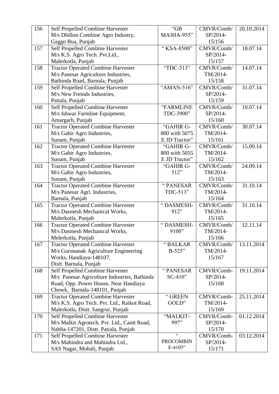| 156 | Self Propelled Combine Harvester                                                | "GB              | CMVR/Comb/           | 20.10.2014 |
|-----|---------------------------------------------------------------------------------|------------------|----------------------|------------|
|     | M/s Dhillon Combine Agro Industry,                                              | MAJHA-955"       | SP/2014-             |            |
|     | Gaggo Bua, Punjab                                                               |                  | 15/156               |            |
| 157 | Self Propelled Combine Harvester                                                | "KSA-8500"       | CMVR/Comb/           | 18.07.14   |
|     | M/s K.S. Agro Tech. Pvt.Ltd.,                                                   |                  | SP/2014-             |            |
|     | Malerkotla, Punjab                                                              |                  | 15/157               |            |
| 158 | <b>Tractor Operated Combine Harvester</b>                                       | "TDC-513"        | CMVR/Comb/           | 14.07.14   |
|     | M/s Panesar Agriculture Industries,                                             |                  | TM/2014-             |            |
|     | Bathinda Road, Barnala, Punjab                                                  |                  | 15/158               |            |
| 159 | Self Propelled Combine Harvester                                                | "AMAN-516"       | CMVR/Comb/           | 31.07.14   |
|     | M/s New Freinds Industries,                                                     |                  | SP/2014-             |            |
|     | Patiala, Punjab                                                                 |                  | 15/159               |            |
| 160 | Self Propelled Combine Harvester                                                | "FARMLINE        | CMVR/Comb/           | 10.07.14   |
|     | M/s Ishwar Farmline Equipment,                                                  | TDC-3900"        | SP/2014-             |            |
|     | Amargarh, Punjab                                                                |                  | 15/160               |            |
| 161 | <b>Tractor Operated Combine Harvester</b>                                       | "GAHIR G-        | CMVR/Comb/           | 30.07.14   |
|     | M/s Gahir Agro Industries,                                                      | 800 with 5075    | TM/2014-             |            |
|     | Sunam, Punjab                                                                   | E JD Tractor"    | 15/161               |            |
| 162 | <b>Tractor Operated Combine Harvester</b>                                       | "GAHIR G-        | CMVR/Comb/           | 15.09.14   |
|     | M/s Gahir Agro Industries,                                                      | 800 with 5055    | TM/2014-             |            |
|     | Sunam, Punjab                                                                   | E JD Tractor"    | 15/162               |            |
| 163 | <b>Tractor Operated Combine Harvester</b>                                       | "GAHIR G-        | CMVR/Comb/           | 24.09.14   |
|     | M/s Gahir Agro Industries,                                                      | 512"             | TM/2014-             |            |
|     | Sunam, Punjab                                                                   |                  | 15/163               |            |
| 164 | <b>Tractor Operated Combine Harvester</b>                                       | "PANESAR         | CMVR/Comb/           | 31.10.14   |
|     | M/s Panesar Agri. Industries,                                                   | TDC-513"         | TM/2014-             |            |
|     | Barnala, Punjab                                                                 |                  | 15/164               |            |
| 165 | <b>Tractor Operated Combine Harvester</b>                                       | "DASMESH-        | CMVR/Comb/           | 31.10.14   |
|     | M/s Dasmesh Mechanical Works,                                                   | 912"             | TM/2014-             |            |
|     | Malerkotla, Punjab                                                              |                  | 15/165               |            |
| 166 | <b>Tractor Operated Combine Harvester</b>                                       | "DASMESH-        | CMVR/Comb/           | 12.11.14   |
|     | M/s Dasmesh Mechanical Works,                                                   | 9100"            | TM/2014-             |            |
|     | Melerkotla, Punjab                                                              |                  | 15/166               |            |
| 167 | <b>Tractor Operated Combine Harvester</b>                                       | "BALKAR          | CMVR/Comb/           | 13.11.2014 |
|     | M/s Gurunanak Agriculture Engineering                                           | $B-525"$         | TM/2014-             |            |
|     | Works, Handiaya-148107,                                                         |                  | 15/167               |            |
|     | Distt. Barnala, Punjab                                                          |                  |                      |            |
| 168 | Self Propelled Combine Harvester                                                | "PANESAR         | CMVR/Comb-           | 19.11.2014 |
|     | M/s Panesar Agriculture Industries, Bathinda                                    | $SC-410"$        | SP/2014-             |            |
|     | Road, Opp. Power House, Near Handiaya                                           |                  | 15/168               |            |
|     | Chowk, Barnala-148101, Punjab                                                   |                  |                      |            |
| 169 | <b>Tractor Operated Combine Harvester</b>                                       | "GREEN           | CMVR/Comb-           | 25.11.2014 |
|     | M/s K.S. Agro Tech. Pvt. Ltd., Raikot Road,                                     | GOLD"            | TM/2014-             |            |
| 170 | Malerkotla, Distt. Sangrur, Punjab                                              | "MALKIT-         | 15/169<br>CMVR/Comb- | 01.12.2014 |
|     | Self Propelled Combine Harvester<br>M/s Malkit Agrotech. Pvt. Ltd., Cantt Road, | 997"             | SP/2014-             |            |
|     |                                                                                 |                  | 15/170               |            |
| 171 | Nabha-147201, Distt. Patiala, Punjab                                            | $\zeta$ $\zeta$  | CMVR/Comb-           | 03.12.2014 |
|     | Self Propelled Combine Harvester<br>M/s Mahindra and Mahindra Ltd.,             | <b>PROCOMBIN</b> | SP/2014-             |            |
|     | SAS Nagar, Mohali, Punjab                                                       | $E-4105"$        | 15/171               |            |
|     |                                                                                 |                  |                      |            |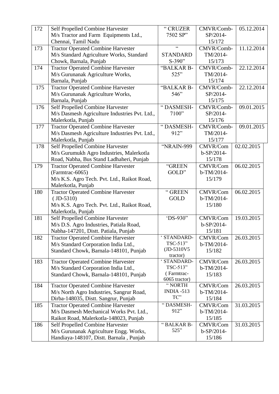| 172 | Self Propelled Combine Harvester              | "CRUZER                 | CMVR/Comb-           | 05.12.2014 |
|-----|-----------------------------------------------|-------------------------|----------------------|------------|
|     | M/s Tractor and Farm Equipments Ltd.,         | 7502 SP"                | SP/2014-             |            |
|     | Chennai, Tamil Nadu                           |                         | 15/172               |            |
| 173 | <b>Tractor Operated Combine Harvester</b>     | $\zeta$ $\zeta$         | CMVR/Comb-           | 11.12.2014 |
|     | M/s Standard Agriculture Works, Standard      | <b>STANDARD</b>         | TM/2014-             |            |
|     | Chowk, Barnala, Punjab                        | $S-390"$                | 15/173               |            |
| 174 | <b>Tractor Operated Combine Harvester</b>     | "BALKAR B-              | CMVR/Comb-           | 22.12.2014 |
|     | M/s Gurunanak Agriculture Works,              | 525"                    | TM/2014-             |            |
|     | Barnala, Punjab                               |                         | 15/174               |            |
| 175 | <b>Tractor Operated Combine Harvester</b>     | "BALKAR B-              | CMVR/Comb-           | 22.12.2014 |
|     | M/s Gurunanak Agriculture Works,              | 546"                    | SP/2014-             |            |
|     | Barnala, Punjab                               |                         | 15/175               |            |
| 176 | Self Propelled Combine Harvester              | "DASMESH-               | CMVR/Comb-           | 09.01.2015 |
|     | M/s Dasmesh Agriculture Industries Pvt. Ltd., | 7100"                   | SP/2014-             |            |
|     | Malerkotla, Punjab                            |                         | 15/176               |            |
| 177 | <b>Tractor Operated Combine Harvester</b>     | "DASMESH-               | CMVR/Comb-           | 09.01.2015 |
|     | M/s Dasmesh Agriculture Industries Pvt. Ltd., | 912"                    | TM/2014-             |            |
|     | Malerkotla, Punjab                            |                         | 15/177               |            |
| 178 | Self Propelled Combine Harvester              | "NRAIN-999              | CMVR/Com             | 02.02.2015 |
|     | M/s Gurumukh Agro Industries, Malerkotla      |                         | b-SP/2014-           |            |
|     | Road, Nabha, Bus Stand Ladhaheri, Punjab      |                         | 15/178               |            |
| 179 | <b>Tractor Operated Combine Harvester</b>     | "GREEN                  | CMVR/Com             | 06.02.2015 |
|     | (Farmtrac-6065)                               | GOLD"                   | b-TM/2014-           |            |
|     | M/s K.S. Agro Tech. Pvt. Ltd., Raikot Road,   |                         | 15/179               |            |
|     | Malerkotla, Punjab                            |                         |                      |            |
| 180 | <b>Tractor Operated Combine Harvester</b>     | "GREEN                  | CMVR/Com             | 06.02.2015 |
|     | $(ID-5310)$                                   | <b>GOLD</b>             | b-TM/2014-           |            |
|     | M/s K.S. Agro Tech. Pvt. Ltd., Raikot Road,   |                         | 15/180               |            |
|     | Malerkotla, Punjab                            |                         |                      |            |
| 181 | Self Propelled Combine Harvester              | 'DS-930"                | <b>CMVR/Com</b>      | 19.03.2015 |
|     | M/s D.S. Agro Industries, Patiala Road,       |                         | b-SP/2014-           |            |
|     | Nabha-147201, Distt. Patiala, Punjab          |                         | 15/181               |            |
| 182 | <b>Tractor Operated Combine Harvester</b>     | STANDARD-               | <b>CMVR/Com</b>      | 26.03.2015 |
|     | M/s Standard Corporation India Ltd.,          | TSC-513"                | b-TM/2014-           |            |
|     | Standard Chowk, Barnala-148101, Punjab        | (JD-5310V5              | 15/182               |            |
|     |                                               | tractor)<br>' STANDARD- |                      |            |
| 183 | <b>Tractor Operated Combine Harvester</b>     | TSC-513"                | CMVR/Com             | 26.03.2015 |
|     | M/s Standard Corporation India Ltd.,          | (Farmtrac-              | b-TM/2014-<br>15/183 |            |
|     | Standard Chowk, Barnala-148101, Punjab        | 6065 tractor)           |                      |            |
| 184 | <b>Tractor Operated Combine Harvester</b>     | "NORTH                  | CMVR/Com             | 26.03.2015 |
|     | M/s North Agro Industries, Sangrur Road,      | INDIA -513              | b-TM/2014-           |            |
|     | Dirba-148035, Distt. Sangrur, Punjab          | TC"                     | 15/184               |            |
| 185 | <b>Tractor Operated Combine Harvester</b>     | "DASMESH-               | <b>CMVR/Com</b>      | 31.03.2015 |
|     | M/s Dasmesh Mechanical Works Pvt. Ltd.,       | 912"                    | b-TM/2014-           |            |
|     | Raikot Road, Malerkotla-148023, Punjab        |                         | 15/185               |            |
| 186 | Self Propelled Combine Harvester              | "BALKAR B-              | CMVR/Com             | 31.03.2015 |
|     | M/s Gurunanak Agriculture Engg. Works,        | 525"                    | b-SP/2014-           |            |
|     | Handiaya-148107, Distt. Barnala, Punjab       |                         | 15/186               |            |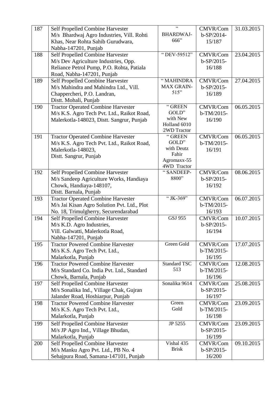| 187 | Self Propelled Combine Harvester            | $\epsilon$          | CMVR/Com     | 31.03.2015 |
|-----|---------------------------------------------|---------------------|--------------|------------|
|     | M/s Bhardwaj Agro Industries, Vill. Rohti   | <b>BHARDWAJ-</b>    | b-SP/2014-   |            |
|     | Khas, Near Rohta Sahib Gurudwara,           | 666"                | 15/187       |            |
|     | Nabha-147201, Punjab                        |                     |              |            |
| 188 | Self Propelled Combine Harvester            | "DEV-59512"         | CMVR/Com     | 23.04.2015 |
|     | M/s Dev Agriculture Industries, Opp.        |                     | $b-SP/2015-$ |            |
|     | Reliance Petrol Pump, P.O. Rohta, Patiala   |                     | 16/188       |            |
|     | Road, Nabha-147201, Punjab                  |                     |              |            |
| 189 | Self Propelled Combine Harvester            | "MAHINDRA           | CMVR/Com     | 27.04.2015 |
|     | M/s Mahindra and Mahindra Ltd., Vill.       | <b>MAX GRAIN-</b>   | $b-SP/2015-$ |            |
|     | Chappercheri, P.O. Landran,                 | 515"                | 16/189       |            |
|     | Distt. Mohali, Punjab                       |                     |              |            |
| 190 | <b>Tractor Operated Combine Harvester</b>   | "GREEN              | CMVR/Com     | 06.05.2015 |
|     | M/s K.S. Agro Tech Pvt. Ltd., Raikot Road,  | GOLD"               | b-TM/2015-   |            |
|     | Malerkotla-148023, Distt. Sangrur, Punjab   | with New            | 16/190       |            |
|     |                                             | Holland 6010        |              |            |
|     |                                             | 2WD Tractor         |              |            |
| 191 | <b>Tractor Operated Combine Harvester</b>   | "GREEN<br>GOLD"     | CMVR/Com     | 06.05.2015 |
|     | M/s K.S. Agro Tech Pvt. Ltd., Raikot Road,  | with Deutz          | b-TM/2015-   |            |
|     | Malerkotla-148023,                          | Fahir               | 16/191       |            |
|     | Distt. Sangrur, Punjab                      | Agromaxx-55         |              |            |
|     |                                             | 4WD Tractor         |              |            |
| 192 | Self Propelled Combine Harvester            | "SANDEEP-           | CMVR/Com     | 08.06.2015 |
|     | M/s Sandeep Agriculture Works, Handiaya     | 8800"               | $b-SP/2015-$ |            |
|     | Chowk, Handiaya-148107,                     |                     | 16/192       |            |
|     | Distt. Barnala, Punjab                      |                     |              |            |
| 193 | <b>Tractor Operated Combine Harvester</b>   | "JK-369"            | CMVR/Com     | 06.07.2015 |
|     | M/s Jai Kisan Agro Solution Pvt. Ltd., Plot |                     | b-TM/2015-   |            |
|     | No. 18, Trimulgherry, Securendarabad        |                     | 16/193       |            |
| 194 | Self Propelled Combine Harvester            | <b>GSJ 955</b>      | CMVR/Com     | 10.07.2015 |
|     | M/s K.D. Agro Industries,                   |                     | $b-SP/2015-$ |            |
|     | Vill. Galwatti, Malerkotla Road,            |                     | 16/194       |            |
|     | Nabha-147201, Punjab                        |                     |              |            |
| 195 | <b>Tractor Powered Combine Harvester</b>    | Green Gold          | CMVR/Com     | 17.07.2015 |
|     | M/s K.S. Agro Tech Pvt. Ltd.,               |                     | b-TM/2015-   |            |
|     | Malarkotla, Punjab                          |                     | 16/195       |            |
| 196 | <b>Tractor Powered Combine Harvester</b>    | <b>Standard TSC</b> | CMVR/Com     | 12.08.2015 |
|     | M/s Standard Co. India Pvt. Ltd., Standard  | 513                 | b-TM/2015-   |            |
|     | Chowk, Barnala, Punjab                      |                     | 16/196       |            |
| 197 | Self Propelled Combine Harvester            | Sonalika 9614       | CMVR/Com     | 25.08.2015 |
|     | M/s Sonalika Ind., Village Chak, Gujran     |                     | $b-SP/2015-$ |            |
|     | Jalander Road, Hoshiarpur, Punjab           |                     | 16/197       |            |
| 198 | <b>Tractor Powered Combine Harvester</b>    | Green               | CMVR/Com     | 23.09.2015 |
|     | M/s K.S. Agro Tech Pvt. Ltd.,               | Gold                | b-TM/2015-   |            |
|     | Malarkotla, Punjab                          |                     | 16/198       |            |
| 199 | Self Propelled Combine Harvester            | JP 5255             | CMVR/Com     | 23.09.2015 |
|     | M/s JP Agro Ind., Village Bhudan,           |                     | $b-SP/2015-$ |            |
|     | Malarkotla, Punjab                          |                     | 16/199       |            |
| 200 | Self Propelled Combine Harvester            | Vishal 435          | CMVR/Com     | 09.10.2015 |
|     | M/s Manku Agro Pvt. Ltd., PB No. 4          | <b>Brisk</b>        | $b-SP/2015-$ |            |
|     | Sehajpura Road, Samana-147101, Punjab       |                     | 16/200       |            |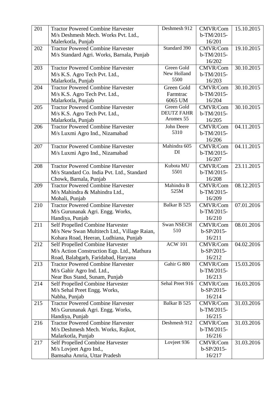| 201 | <b>Tractor Powered Combine Harvester</b>    | Deshmesh 912      | CMVR/Com        | 15.10.2015 |
|-----|---------------------------------------------|-------------------|-----------------|------------|
|     | M/s Deshmesh Mech. Works Pvt. Ltd.,         |                   | b-TM/2015-      |            |
|     | Malerkotla, Punjab                          |                   | 16/201          |            |
| 202 | <b>Tractor Powered Combine Harvester</b>    | Standard 390      | CMVR/Com        | 19.10.2015 |
|     | M/s Standard Agri. Works, Barnala, Punjab   |                   | $b-TM/2015-$    |            |
|     |                                             |                   | 16/202          |            |
| 203 | <b>Tractor Powered Combine Harvester</b>    | Green Gold        | CMVR/Com        | 30.10.2015 |
|     | M/s K.S. Agro Tech Pvt. Ltd.,               | New Holland       | b-TM/2015-      |            |
|     | Malarkotla, Punjab                          | 5500              | 16/203          |            |
| 204 | <b>Tractor Powered Combine Harvester</b>    | Green Gold        | CMVR/Com        | 30.10.2015 |
|     | M/s K.S. Agro Tech Pvt. Ltd.,               | Farmtrac          | $b-TM/2015-$    |            |
|     | Malarkotla, Punjab                          | 6065 UM           | 16/204          |            |
| 205 | <b>Tractor Powered Combine Harvester</b>    | Green Gold        | CMVR/Com        | 30.10.2015 |
|     | M/s K.S. Agro Tech Pvt. Ltd.,               | <b>DEUTZ FAHR</b> | b-TM/2015-      |            |
|     | Malarkotla, Punjab                          | Aromex 55         | 16/205          |            |
| 206 | <b>Tractor Powered Combine Harvester</b>    | John Deere        | CMVR/Com        | 04.11.2015 |
|     | M/s Luxmi Agro Ind., Nizamabad              | 5310              | $b-TM/2015-$    |            |
|     |                                             |                   | 16/206          |            |
| 207 | <b>Tractor Powered Combine Harvester</b>    | Mahindra 605      | CMVR/Com        | 04.11.2015 |
|     | M/s Luxmi Agro Ind., Nizamabad              | DI                | b-TM/2015-      |            |
|     |                                             |                   | 16/207          |            |
| 208 | <b>Tractor Powered Combine Harvester</b>    | Kubota MU         | CMVR/Com        | 23.11.2015 |
|     | M/s Standard Co. India Pvt. Ltd., Standard  | 5501              | b-TM/2015-      |            |
|     | Chowk, Barnala, Punjab                      |                   | 16/208          |            |
| 209 | <b>Tractor Powered Combine Harvester</b>    | Mahindra B        | <b>CMVR/Com</b> | 08.12.2015 |
|     | M/s Mahindra & Mahindra Ltd.,               | 525M              | b-TM/2015-      |            |
|     | Mohali, Punjab                              |                   | 16/209          |            |
| 210 | <b>Tractor Powered Combine Harvester</b>    | Balkar B 525      | CMVR/Com        | 07.01.2016 |
|     | M/s Gurunanak Agri. Engg. Works,            |                   | b-TM/2015-      |            |
|     | Handiya, Punjab                             |                   | 16/210          |            |
| 211 | Self Propelled Combine Harvester            | <b>Swan NSECH</b> | CMVR/Com        | 08.01.2016 |
|     | M/s New Swan Multitech Ltd., Village Raian, | 510               | $b-SP/2015-$    |            |
|     | Kohara Road, Heeran, Ludhiana, Punjab       |                   | 16/211          |            |
| 212 | Self Propelled Combine Harvester            | <b>ACW 101</b>    | CMVR/Com        | 04.02.2016 |
|     | M/s Action Construction Eqp. Ltd., Mathura  |                   | $b-SP/2015-$    |            |
|     | Road, Balabgarh, Faridabad, Haryana         |                   | 16/212          |            |
| 213 | <b>Tractor Powered Combine Harvester</b>    | Gahir G 800       | CMVR/Com        | 15.03.2016 |
|     | M/s Gahir Agro Ind. Ltd.,                   |                   | b-TM/2015-      |            |
|     | Near Bus Stand, Sunam, Punjab               |                   | 16/213          |            |
| 214 | Self Propelled Combine Harvester            | Sehal Preet 916   | CMVR/Com        | 16.03.2016 |
|     | M/s Sehal Preet Engg. Works,                |                   | b-SP/2015-      |            |
|     | Nabha, Punjab                               |                   | 16/214          |            |
| 215 | <b>Tractor Powered Combine Harvester</b>    | Balkar B 525      | CMVR/Com        | 31.03.2016 |
|     | M/s Gurunanak Agri. Engg. Works,            |                   | b-TM/2015-      |            |
|     | Handiya, Punjab                             |                   | 16/215          |            |
| 216 | <b>Tractor Powered Combine Harvester</b>    | Deshmesh 912      | CMVR/Com        | 31.03.2016 |
|     | M/s Deshmesh Mech. Works, Rajkot,           |                   | b-TM/2015-      |            |
|     | Malarkotla, Punjab                          |                   | 16/216          |            |
| 217 |                                             |                   |                 |            |
|     | Self Propelled Combine Harvester            | Lovjeet 936       | CMVR/Com        | 31.03.2016 |
|     | M/s Lovjeet Agro Ind.,                      |                   | b-SP/2015-      |            |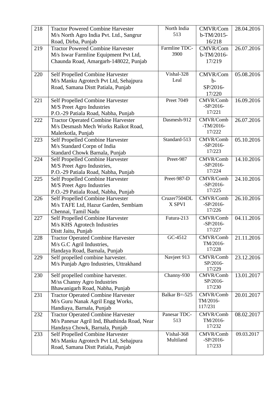| 218 | <b>Tractor Powered Combine Harvester</b>                      | North India   | CMVR/Com                 | 28.04.2016 |
|-----|---------------------------------------------------------------|---------------|--------------------------|------------|
|     | M/s North Agro India Pvt. Ltd., Sangrur                       | 513           | $b-TM/2015-$             |            |
|     | Road, Dirba, Punjab                                           |               | 16/218                   |            |
| 219 | <b>Tractor Powered Combine Harvester</b>                      | Farmline TDC- | CMVR/Com                 | 26.07.2016 |
|     | M/s Iswar Farmline Equipment Pvt Ltd,                         | 3900          | $b-TM/2016-$             |            |
|     | Chaunda Road, Amargarh-148022, Punjab                         |               | 17/219                   |            |
|     |                                                               |               |                          |            |
| 220 | Self Propelled Combine Harvester                              | Vishal-328    | CMVR/Com                 | 05.08.2016 |
|     | M/s Manku Agrotech Pvt Ltd, Sehajpura                         | Leal          | $b-$                     |            |
|     | Road, Samana Distt Patiala, Punjab                            |               | SP/2016-                 |            |
|     |                                                               |               | 17/220                   |            |
| 221 | Self Propelled Combine Harvester                              | Preet 7049    | CMVR/Comb                | 16.09.2016 |
|     | M/S Preet Agro Industries                                     |               | $-SP/2016-$              |            |
|     | P.O.-29 Patiala Road, Nabha, Punjab                           |               | 17/221                   |            |
| 222 | <b>Tractor Operated Combine Harvester</b>                     | Dasmesh-912   | CMVR/Comb                | 26.07.2016 |
|     | M/s Desmash Mech Works Raikot Road,                           |               | $-TM/2016-$              |            |
|     | Malerkotla, Punjab                                            |               | 17/222                   |            |
| 223 | Self Propelled Combine Harvester                              | Standard-513  | CMVR/Comb                | 05.10.2016 |
|     | M/s Standard Corpn of India                                   |               | $-SP/2016-$<br>17/223    |            |
|     | Standard Chowk Barnala, Punjab                                |               |                          |            |
| 224 | Self Propelled Combine Harvester                              | Preet-987     | CMVR/Comb<br>$-SP/2016-$ | 14.10.2016 |
|     | M/S Preet Agro Industries,                                    |               | 17/224                   |            |
| 225 | P.O.-29 Patiala Road, Nabha, Punjab                           | Preet-987-D   | CMVR/Comb                | 24.10.2016 |
|     | Self Propelled Combine Harvester<br>M/S Preet Agro Industries |               | $-SP/2016-$              |            |
|     | P.O.-29 Patiala Road, Nabha, Punjab                           |               | 17/225                   |            |
| 226 | Self Propelled Combine Harvester                              | Cruzer7504DL  | CMVR/Comb                | 26.10.2016 |
|     | M/s TAFE Ltd, Hazur Garden, Sembiam                           | X SPVI        | $-SP/2016-$              |            |
|     | Chennai, Tamil Nadu                                           |               | 17/226                   |            |
| 227 | Self Propelled Combine Harvester                              | Futura-213    | CMVR/Comb                | 04.11.2016 |
|     | M/s KHS Agrotech Industries                                   |               | $-SP/2016-$              |            |
|     | Distt Jaitu, Punjab                                           |               | 17/227                   |            |
| 228 | <b>Tractor Operated Combine Harvester</b>                     | GC-4512       | CMVR/Comb                | 21.11.2016 |
|     | M/s G.C Agril Industries,                                     |               | TM/2016-                 |            |
|     | Handaya Road, Barnala, Punjab                                 |               | 17/228                   |            |
| 229 | Self propelled combine harvester.                             | Navjeet 913   | CMVR/Comb                | 23.12.2016 |
|     | M/s Punjab Agro Industries, Uttrakhand                        |               | SP/2016-                 |            |
| 230 | Self propelled combine harvester.                             | Channy-930    | 17/229<br>CMVR/Comb      | 13.01.2017 |
|     | M/ss Channy Agro Industries                                   |               | SP/2016-                 |            |
|     | Bhawanigarh Road, Nabha, Punjab                               |               | 17/230                   |            |
| 231 | <b>Tractor Operated Combine Harvester</b>                     | Balkar B=-525 | CMVR/Comb                | 20.01.2017 |
|     | M/s Guru Nanak Agril Engg Works,                              |               | TM/2016-                 |            |
|     | Handiaya, Barnala, Punjab                                     |               | 117/231                  |            |
| 232 | <b>Tractor Operated Combine Harvester</b>                     | Panesar TDC-  | CMVR/Comb                | 08.02.2017 |
|     | M/s Panesar Agril Ind, Bhathinda Road, Near                   | 513           | TM/2016-                 |            |
|     | Handaya Chowk, Barnala, Punjab                                |               | 17/232                   |            |
| 233 | Self Propelled Combine Harvester                              | Vishal-368    | CMVR/Comb                | 09.03.2017 |
|     | M/s Manku Agrotech Pvt Ltd, Sehajpura                         | Multiland     | $-SP/2016-$              |            |
|     | Road, Samana Distt Patiala, Punjab                            |               | 17/233                   |            |
|     |                                                               |               |                          |            |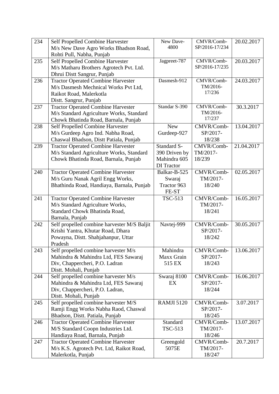| 234 | Self Propelled Combine Harvester<br>M/s New Dave Agro Works Bhadson Road, | New Dave-<br>4800 | CMVR/Comb-<br>SP/2016-17/234 | 20.02.2017 |
|-----|---------------------------------------------------------------------------|-------------------|------------------------------|------------|
|     | Rohti Pull, Nabha, Punjab                                                 |                   |                              |            |
| 235 | Self Propelled Combine Harvester                                          | Jagpreet-787      | CMVR/Comb-                   | 20.03.2017 |
|     | M/s Matharu Brothers Agrotech Pvt. Ltd.                                   |                   | SP/2016-17/235               |            |
|     | Dhrui Distt Sangrur, Punjab                                               |                   |                              |            |
| 236 | <b>Tractor Operated Combine Harvester</b>                                 | Dasmesh-912       | CMVR/Comb-                   | 24.03.2017 |
|     | M/s Dasmesh Mechnical Works Pvt Ltd,                                      |                   | TM/2016-                     |            |
|     | Raikot Road, Malerkotla                                                   |                   | 17/236                       |            |
|     | Distt. Sangrur, Punjab                                                    |                   |                              |            |
| 237 | <b>Tractor Operated Combine Harvester</b>                                 | Standar S-390     | CMVR/Comb-                   | 30.3.2017  |
|     | M/s Standard Agriculture Works, Standard                                  |                   | TM/2016-                     |            |
|     | Chowk Bhatinda Road, Barnala, Punjab                                      |                   | 17/237                       |            |
| 238 | Self Propelled Combine Harvester                                          | <b>New</b>        | CMVR/Comb-                   | 13.04.2017 |
|     | M/s Gurdeep Agro Ind. Nabha Road,                                         | Gurdeep-927       | SP/2017-                     |            |
|     | Chaswal Bhadson, Distt Patiala, Punjab                                    |                   | 18/238                       |            |
| 239 | <b>Tractor Operated Combine Harvester</b>                                 | Standard S-       | CMVR/Comb-                   | 21.04.2017 |
|     | M/s Standard Agriculture Works, Standard                                  | 390 Driven by     | TM/2017-                     |            |
|     | Chowk Bhatinda Road, Barnala, Punjab                                      | Mahindra 605      | 18/239                       |            |
|     |                                                                           | <b>DI</b> Tractor |                              |            |
| 240 | <b>Tractor Operated Combine Harvester</b>                                 | Balkar-B-525      | CMVR/Comb-                   | 02.05.2017 |
|     | M/s Guru Nanak Agril Engg Works,                                          | Swaraj            | TM/2017-                     |            |
|     | Bhathinda Road, Handiaya, Barnala, Punjab                                 | Tractor 963       | 18/240                       |            |
|     |                                                                           | FE-ST             |                              |            |
| 241 | <b>Tractor Operated Combine Harvester</b>                                 | <b>TSC-513</b>    | CMVR/Comb-                   | 16.05.2017 |
|     | M/s Standard Agriculture Works,                                           |                   | TM/2017-                     |            |
|     | Standard Chowk Bhatinda Road,                                             |                   | 18/241                       |            |
|     | Barnala, Punjab                                                           |                   |                              |            |
| 242 | Self propelled combine harvester M/S Baljit                               | Navtej-999        | CMVR/Comb-                   | 30.05.2017 |
|     | Krishi Yantra, Khutar Road, Dhara                                         |                   | SP/2017-<br>18/242           |            |
|     | Powayna, Distt. Shahjahanpur, Uttar<br>Pradesh                            |                   |                              |            |
| 243 | Self propelled combine harvester M/s                                      | Mahindra          | CMVR/Comb-                   | 13.06.2017 |
|     | Mahindra & Mahindra Ltd, FES Sawaraj                                      | Maxx Grain        | SP/2017-                     |            |
|     | Div, Chappercheri, P.O. Ladran                                            | 515 EX            | 18/243                       |            |
|     | Distt. Mohali, Punjab                                                     |                   |                              |            |
| 244 | Self propelled combine harvester M/s                                      | Swaraj 8100       | CMVR/Comb-                   | 16.06.2017 |
|     | Mahindra & Mahindra Ltd, FES Sawaraj                                      | EX                | SP/2017-                     |            |
|     | Div, Chappercheri, P.O. Ladran,                                           |                   | 18/244                       |            |
|     | Distt. Mohali, Punjab                                                     |                   |                              |            |
| 245 | Self propelled combine harvester M/S                                      | <b>RAMJI 5120</b> | CMVR/Comb-                   | 3.07.2017  |
|     | Ramji Engg Works Nabha Raod, Chaswal                                      |                   | SP/2017-                     |            |
|     | Bhadson, Distt. Patiala, Punjab                                           |                   | 18/245                       |            |
| 246 | <b>Tractor Operated Combine Harvester</b>                                 | Standard          | CMVR/Comb-                   | 13.07.2017 |
|     | M/S Standard Coopn Industries Ltd.                                        | <b>TSC-513</b>    | TM/2017-                     |            |
|     | Handiaya Road, Barnala, Punjab                                            |                   | 18/246                       |            |
| 247 | <b>Tractor Operated Combine Harvester</b>                                 | Greengold         | CMVR/Comb-                   | 20.7.2017  |
|     | M/s K.S. Agrotech Pvt. Ltd, Raikot Road,                                  | 5075E             | TM/2017-                     |            |
|     | Malerkotla, Punjab                                                        |                   | 18/247                       |            |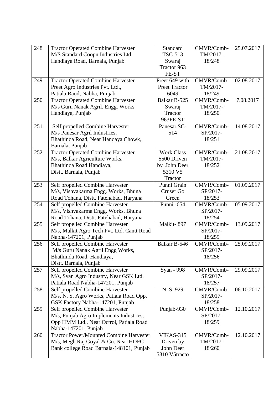| 248 | <b>Tractor Operated Combine Harvester</b>      | Standard               | CMVR/Comb- | 25.07.2017 |
|-----|------------------------------------------------|------------------------|------------|------------|
|     | M/S Standard Coopn Industries Ltd.             | <b>TSC-513</b>         | TM/2017-   |            |
|     | Handiaya Road, Barnala, Punjab                 | Swaraj                 | 18/248     |            |
|     |                                                | Tractor 963            |            |            |
|     |                                                | FE-ST                  |            |            |
| 249 | <b>Tractor Operated Combine Harvester</b>      | Preet 649 with         | CMVR/Comb- | 02.08.2017 |
|     | Preet Agro Industries Pvt. Ltd.,               | Preet Tractor          | TM/2017-   |            |
|     | Patiala Raod, Nabha, Punjab                    | 6049                   | 18/249     |            |
| 250 | <b>Tractor Operated Combine Harvester</b>      | Balkar B-525           | CMVR/Comb- | 7.08.2017  |
|     | M/s Guru Nanak Agril. Engg. Works              | Swaraj                 | TM/2017-   |            |
|     | Handiaya, Punjab                               | Tractor                | 18/250     |            |
|     |                                                | 963FE-ST               |            |            |
| 251 | Self propelled Combine Harvester               | Panesar SC-            | CMVR/Comb- | 14.08.2017 |
|     | M/s Panesar Agril Industries,                  | 514                    | SP/2017-   |            |
|     | Bhathinda Road, Near Handaya Chowk,            |                        | 18/251     |            |
|     | Barnala, Punjab                                |                        |            |            |
| 252 | <b>Tractor Operated Combine Harvester</b>      | <b>Work Class</b>      | CMVR/Comb- | 21.08.2017 |
|     | M/s, Balkar Agriculture Works,                 | 5500 Driven            | TM/2017-   |            |
|     | Bhathinda Road Handiaya,                       | by John Deer           | 18/252     |            |
|     | Distt. Barnala, Punjab                         | 5310 V5                |            |            |
|     |                                                | Tractor                |            |            |
| 253 | Self propelled Combine Harvester               | Punni Grain            | CMVR/Comb- | 01.09.2017 |
|     | M/s, Vishvakarma Engg. Works, Bhuna            | Cruser Go              | SP/2017-   |            |
|     | Road Tohana, Distt. Fatehabad, Haryana         | Green                  | 18/253     |            |
| 254 | Self propelled Combine Harvester               | Punni -654             | CMVR/Comb- | 05.09.2017 |
|     | M/s, Vishvakarma Engg. Works, Bhuna            |                        | SP/2017-   |            |
|     | Road Tohana, Distt. Fatehabad, Haryana         |                        | 18/254     |            |
| 255 | Self propelled Combine Harvester               | Malkit-897             | CMVR/Comb- | 13.09.2017 |
|     | M/s, Malkit Agro Tech Pvt. Ltd. Cantt Road     |                        | SP/2017-   |            |
|     | Nabha-147201, Punjab                           |                        | 18/255     |            |
| 256 | Self propelled Combine Harvester               | Balkar B-546           | CMVR/Comb- | 25.09.2017 |
|     | M/s Guru Nanak Agril Engg Works,               |                        | SP/2017-   |            |
|     | Bhathinda Road, Handiaya,                      |                        | 18/256     |            |
|     | Distt. Barnala, Punjab                         |                        |            |            |
| 257 | Self propelled Combine Harvester               | Syan - 998             | CMVR/Comb- | 29.09.2017 |
|     | M/s, Syan Agro Industry, Near GSK Ltd.         |                        | SP/2017-   |            |
|     | Patiala Road Nabha-147201, Punjab              |                        | 18/257     |            |
| 258 | Self propelled Combine Harvester               | N. S. 929              | CMVR/Comb- | 06.10.2017 |
|     | M/s, N. S. Agro Works, Patiala Road Opp.       |                        | SP/2017-   |            |
|     | GSK Factory Nabha-147201, Punjab               |                        | 18/258     |            |
| 259 | Self propelled Combine Harvester               | Punjab-930             | CMVR/Comb- | 12.10.2017 |
|     | M/s, Punjab Agro Implements Industries,        |                        | SP/2017-   |            |
|     | Opp HMM Ltd., Near Octroi, Patiala Road        |                        | 18/259     |            |
|     | Nabha-147201, Punjab                           |                        |            |            |
| 260 | <b>Tractor Power/Mounted Combine Harvester</b> | <b>VIKAS-315</b>       | CMVR/Comb- | 12.10.2017 |
|     | M/s, Megh Raj Goyal & Co. Near HDFC            | Driven by<br>John Deer | TM/2017-   |            |
|     | Bank college Road Barnala-148101, Punjab       |                        | 18/260     |            |
|     |                                                | 5310 V5tracto          |            |            |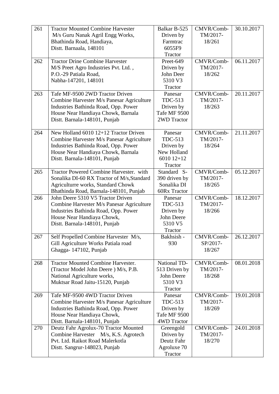| 261 | <b>Tractor Mounted Combine Harvester</b>   | Balkar B-525   | CMVR/Comb- | 30.10.2017 |
|-----|--------------------------------------------|----------------|------------|------------|
|     | M/s Guru Nanak Agril Engg Works,           | Driven by      | TM/2017-   |            |
|     | Bhathinda Road, Handiaya,                  | Farmtrac       | 18/261     |            |
|     | Distt. Barnaala, 148101                    | 6055F9         |            |            |
|     |                                            | Tractor        |            |            |
| 262 | <b>Tractor Drine Combine Harvester</b>     | Preet-649      | CMVR/Comb- | 06.11.2017 |
|     | M/S Preet Agro Industries Pvt. Ltd.,       | Driven by      | TM/2017-   |            |
|     | P.O.-29 Patiala Road,                      | John Deer      | 18/262     |            |
|     | Nabha-147201, 148101                       | 5310 V3        |            |            |
|     |                                            | Tractor        |            |            |
| 263 | Tafe MF-9500 2WD Tractor Driven            | Panesar        | CMVR/Comb- | 20.11.2017 |
|     | Combine Harvester M/s Panesar Agriculture  | TDC-513        | TM/2017-   |            |
|     | Industries Bathinda Road, Opp. Power       | Driven by      | 18/263     |            |
|     | House Near Handiaya Chowk, Barnala         | Tafe MF 9500   |            |            |
|     | Distt. Barnala-148101, Punjab              | 2WD Tractor    |            |            |
|     |                                            |                |            |            |
| 264 | New Holland 6010 12+12 Tractor Driven      | Panesar        | CMVR/Comb- | 21.11.2017 |
|     | Combine Harvester M/s Panesar Agriculture  | <b>TDC-513</b> | TM/2017-   |            |
|     | Industries Bathinda Road, Opp. Power       | Driven by      | 18/264     |            |
|     | House Near Handiaya Chowk, Barnala         | New Holland    |            |            |
|     | Distt. Barnala-148101, Punjab              | $601012+12$    |            |            |
|     |                                            | Tractor        |            |            |
| 265 | Tractor Powered Combine Harvester. with    | Standard S-    | CMVR/Comb- | 05.12.2017 |
|     | Sonalika DI-60 RX Tractor of M/s, Standard | 390 driven by  | TM/2017-   |            |
|     | Agriculturre works, Standard Chowk         | Sonalika DI    | 18/265     |            |
|     | Bhathinda Road, Barnala-148101, Punjab     | 60Rx Tractor   |            |            |
| 266 | John Deere 5310 V5 Tractor Driven          | Panesar        | CMVR/Comb- | 18.12.2017 |
|     | Combine Harvester M/s Panesar Agriculture  | <b>TDC-513</b> | TM/2017-   |            |
|     | Industries Bathinda Road, Opp. Power       | Driven by      | 18/266     |            |
|     | House Near Handiaya Chowk,                 | John Deere     |            |            |
|     | Distt. Barnala-148101, Punjab              | 5310 V5        |            |            |
|     |                                            | Tractor        |            |            |
| 267 | Self Propelled Combine Harvester M/s,      | Bakhsish -     | CMVR/Comb- | 26.12.2017 |
|     | Gill Agriculture Works Patiala road        | 930            | SP/2017-   |            |
|     | Ghagga-147102, Punjab                      |                | 18/267     |            |
|     |                                            |                |            |            |
| 268 | <b>Tractor Mounted Combine Harvester.</b>  | National TD-   | CMVR/Comb- | 08.01.2018 |
|     | (Tractor Model John Deere) M/s, P.B.       | 513 Driven by  | TM/2017-   |            |
|     | National Agriculture works,                | John Deere     | 18/268     |            |
|     | Muktsar Road Jaitu-15120, Punjab           | 5310 V3        |            |            |
|     |                                            | Tractor        |            |            |
| 269 | Tafe MF-9500 4WD Tractor Driven            | Panesar        | CMVR/Comb- | 19.01.2018 |
|     | Combine Harvester M/s Panesar Agriculture  | <b>TDC-513</b> | TM/2017-   |            |
|     | Industries Bathinda Road, Opp. Power       | Driven by      | 18/269     |            |
|     | House Near Handiaya Chowk,                 | Tafe MF 9500   |            |            |
|     | Distt. Barnala-148101, Punjab              | 4WD Tractor    |            |            |
| 270 | Deutz Fahr Agrolux-70 Tractor Mounted      | Greengold      | CMVR/Comb- | 24.01.2018 |
|     | Combine Harvester M/s, K.S. Agrotech       | Driven by      | TM/2017-   |            |
|     | Pvt. Ltd. Raikot Road Malerkotla           | Deutz Fahr     | 18/270     |            |
|     | Distt. Sangrur-148023, Punjab              | Agroluxe 70    |            |            |
|     |                                            | Tractor        |            |            |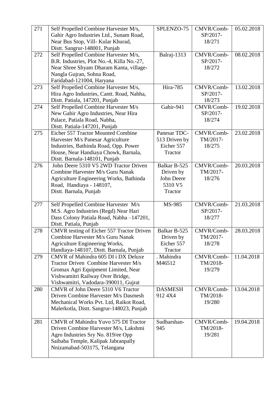| 271 | Self Propelled Combine Harvester M/s,                                                | SPLENZO-75     | CMVR/Comb-         | 05.02.2018 |
|-----|--------------------------------------------------------------------------------------|----------------|--------------------|------------|
|     | Gahir Agro Industries Ltd., Sunam Road,                                              |                | SP/2017-           |            |
|     | Near Bus Stop, Vill- Kular Khurad,                                                   |                | 18/271             |            |
|     | Distt. Sangrur-148001, Punjab                                                        |                |                    |            |
| 272 | Self Propelled Combine Harvester M/s,                                                | Balraj-1313    | CMVR/Comb-         | 08.02.2018 |
|     | B.R. Industries, Plot No.-4, Killa No.-27,                                           |                | SP/2017-           |            |
|     | Near Shree Shyam Dharam Kanta, village-                                              |                | 18/272             |            |
|     | Nangla Gujran, Sohna Road,                                                           |                |                    |            |
|     | Faridabad-121004, Haryana                                                            |                |                    |            |
| 273 | Self Propelled Combine Harvester M/s,                                                | Hira-785       | CMVR/Comb-         | 13.02.2018 |
|     | Hira Agro Industries, Cantt. Road, Nabha,                                            |                | SP/2017-           |            |
|     | Distt. Patiala, 147201, Punjab                                                       |                | 18/273             |            |
| 274 | Self Propelled Combine Harvester M/s                                                 | Gahir-941      | CMVR/Comb-         | 19.02.2018 |
|     | New Gahir Agro Industries, Near Hira                                                 |                | SP/2017-           |            |
|     | Palace, Patiala Road, Nabha,                                                         |                | 18/274             |            |
|     | Distt. Patiala-147201, Punjab                                                        |                |                    |            |
| 275 | Eicher 557 Tractor Mounted Combine                                                   | Panesar TDC-   | CMVR/Comb-         | 23.02.2018 |
|     | Harvester M/s Panesar Agriculture                                                    | 513 Driven by  | TM/2017-           |            |
|     | Industries, Bathinda Road, Opp. Power                                                | Eicher 557     | 18/275             |            |
|     | House, Near Handiaya Chowk, Barnala,<br>Distt. Barnala-148101, Punjab                | Tractor        |                    |            |
| 276 | John Deere 5310 V5 2WD Tractor Driven                                                | Balkar B-525   | CMVR/Comb-         | 20.03.2018 |
|     | Combine Harvester M/s Guru Nanak                                                     | Driven by      | TM/2017-           |            |
|     | Agriculture Engineering Works, Bathinda                                              | John Deere     | 18/276             |            |
|     | Road, Handiaya - 148107,                                                             | 5310 V5        |                    |            |
|     | Distt. Barnala, Punjab                                                               | Tractor        |                    |            |
|     |                                                                                      |                |                    |            |
| 277 | Self Propelled Combine Harvester M/s                                                 | MS-985         | CMVR/Comb-         | 21.03.2018 |
|     | M.S. Agro Industries (Regd) Near Hari                                                |                | SP/2017-           |            |
|     | Dass Colony Patiala Road, Nabha-147201,                                              |                | 18/277             |            |
|     | Distt. Patiala, Punjab                                                               |                |                    |            |
| 278 | CMVR testing of Eicher 557 Tractor Driven                                            | Balkar B-525   | CMVR/Comb-         | 28.03.2018 |
|     | Combine Harvester M/s Guru Nanak                                                     | Driven by      | TM/2017-           |            |
|     | Agriculture Engineering Works,                                                       | Eicher 557     | 18/278             |            |
|     | Handiaya-148107, Distt. Barnala, Punjab                                              | Tractor        |                    |            |
| 279 | CMVR of Mahindra 605 DI i DX Deluxe                                                  | . Mahindra     | CMVR/Comb-         | 11.04.2018 |
|     | Tractor Driven Combine Harvester M/s                                                 | M46512         | TM/2018-           |            |
|     | Gromax Agri Equipment Limited, Near                                                  |                | 19/279             |            |
|     | Vishwamitri Railway Over Bridge,                                                     |                |                    |            |
|     | Vishwamitri, Vadodara-390011, Gujrat                                                 |                |                    |            |
| 280 | CMVR of John Deere 5310 V6 Tractor                                                   | <b>DASMESH</b> | CMVR/Comb-         | 13.04.2018 |
|     | Driven Combine Harvester M/s Dasmesh                                                 | 912 4X4        | TM/2018-<br>19/280 |            |
|     | Mechanical Works Pvt. Ltd, Raikot Road,<br>Malerkotla, Distt. Sangrur-148023, Punjab |                |                    |            |
|     |                                                                                      |                |                    |            |
| 281 | CMVR of Mahindra Yuvo 575 DI Tractor                                                 | Sudharshan-    | CMVR/Comb-         | 19.04.2018 |
|     | Driven Combine Harvester M/s, Lakshmi                                                | 945            | TM/2018-           |            |
|     | Agro Industries Sry No. 819/ee Opp                                                   |                | 19/281             |            |
|     | Saibaba Temple, Kalipak Jabranpally                                                  |                |                    |            |
|     | Nnizamabad-503175, Telangana                                                         |                |                    |            |
|     |                                                                                      |                |                    |            |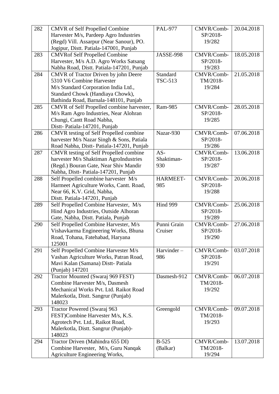| 282 | <b>CMVR</b> of Self Propelled Combine                       | <b>PAL-977</b> | CMVR/Comb- | 20.04.2018 |
|-----|-------------------------------------------------------------|----------------|------------|------------|
|     | Harvester M/s, Pardeep Agro Industries                      |                | SP/2018-   |            |
|     | (Regd) Vill. Assarpur (Near Sanour), PO.                    |                | 19/282     |            |
|     | Jogipur, Distt. Patiala-147001, Punjab                      |                |            |            |
| 283 | <b>CMVRof Self Propelled Combine</b>                        | JASSE-998      | CMVR/Comb- | 18.05.2018 |
|     | Harvester, M/s A.D. Agro Works Satsang                      |                | SP/2018-   |            |
|     | Nabha Road, Distt. Patiala-147201, Punjab                   |                | 19/283     |            |
| 284 | CMVR of Tractor Driven by john Deere                        | Standard       | CMVR/Comb- | 21.05.2018 |
|     | 5310 V6 Combine Harvester                                   | <b>TSC-513</b> | TM/2018-   |            |
|     | M/s Standard Corporation India Ltd.,                        |                | 19/284     |            |
|     | Standard Chowk (Handiaya Chowk),                            |                |            |            |
|     | Bathinda Road, Barnala-148101, Punjab                       |                |            |            |
| 285 | CMVR of Self Propelled combine harvester,                   | Ram-985        | CMVR/Comb- | 28.05.2018 |
|     | M/s Ram Agro Industries, Near Alohran                       |                | SP/2018-   |            |
|     | Chungi, Cantt Road Nabha,                                   |                | 19/285     |            |
|     | Distt-Patiala-147201, Punjab                                |                |            |            |
| 286 | <b>CMVR</b> testing of Self Propelled combine               | Nazar-930      | CMVR/Comb- | 07.06.2018 |
|     | harvester M/s Nazar Singh & Sons, Patiala                   |                | SP/2018-   |            |
|     | Road Nabha, Distt-Patiala-147201, Punjab                    |                | 19/286     |            |
| 287 | CMVR testing of Self Propelled combine                      | $AS-$          | CMVR/Comb- | 13.06.2018 |
|     | harvester M/s Shaktiman AgroIndustries                      | Shaktiman-     | SP/2018-   |            |
|     | (Regd.) Bouran Gate, Near Shiv Mandir                       | 930            | 19/287     |            |
|     | Nabha, Distt-Patiala-147201, Punjab                         |                |            |            |
| 288 | Self Propelled combine harvester M/s                        | HARMEET-       | CMVR/Comb- | 20.06.2018 |
|     | Harmeet Agriculture Works, Cantt. Road,                     | 985            | SP/2018-   |            |
|     | Near 66, K.V. Grid, Nabha,<br>Distt. Patiala-147201, Punjab |                | 19/288     |            |
| 289 | Self Propelled Combine Harvester, M/s                       | Hind 999       | CMVR/Comb- | 25.06.2018 |
|     | Hind Agro Industries, Outside Alhoran                       |                | SP/2018-   |            |
|     | Gate, Nabha, Distt. Patiala, Punjab                         |                | 19/289     |            |
| 290 | Self Propelled Combine Harvester, M/s                       | Punni Grain    | CMVR/Comb- | 27.06.2018 |
|     | Vishavkarma Engineering Works, Bhuna                        | Cruiser        | SP/2018-   |            |
|     | Road, Tohana, Fatehabad, Haryana                            |                | 19/290     |            |
|     | 125001                                                      |                |            |            |
| 291 | Self Propelled Combine Harvester M/s                        | Harvinder-     | CMVR/Comb- | 03.07.2018 |
|     | Vashan Agriculture Works, Patran Road,                      | 986            | SP/2018-   |            |
|     | Mavi Kalan (Samana) Distt- Patiala                          |                | 19/291     |            |
|     | (Punjab) 147201                                             |                |            |            |
| 292 | Tractor Mounted (Swaraj 969 FEST)                           | Dasmesh-912    | CMVR/Comb- | 06.07.2018 |
|     | Combine Harvester M/s, Dasmesh                              |                | TM/2018-   |            |
|     | Mechanical Works Pvt. Ltd. Raikot Road                      |                | 19/292     |            |
|     | Malerkotla, Distt. Sangrur (Punjab)                         |                |            |            |
|     | 148023                                                      |                |            |            |
| 293 | Tractor Powered (Swaraj 963                                 | Greengold      | CMVR/Comb- | 09.07.2018 |
|     | FEST)Combine Harvester M/s, K.S.                            |                | TM/2018-   |            |
|     | Agrotech Pvt. Ltd., Raikot Road,                            |                | 19/293     |            |
|     | Malerkotla, Distt. Sangrur (Punjab)-                        |                |            |            |
|     | 148023                                                      |                |            |            |
| 294 | Tractor Driven (Mahindra 655 DI)                            | <b>B-525</b>   | CMVR/Comb- | 13.07.2018 |
|     | Combine Harvester, M/s, Guru Nanqak                         | (Balkar)       | TM/2018-   |            |
|     | Agriculture Engineering Works,                              |                | 19/294     |            |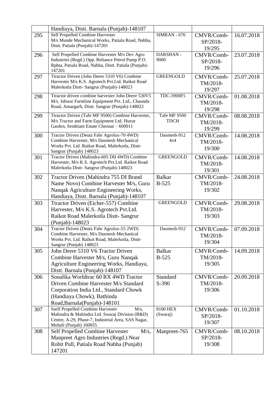|     | Handiaya, Distt. Barnala (Punjab)-148107                                                              |                  |            |            |
|-----|-------------------------------------------------------------------------------------------------------|------------------|------------|------------|
| 295 | <b>Self Propelled Combine Harvester</b>                                                               | $SIMRAN - 676$   | CMVR/Comb- | 16.07.2018 |
|     | M/s Munde Mechanical Works, Patiala Road, Nabha,                                                      |                  | SP/2018-   |            |
|     | Distt. Patiala (Punjab)-147201                                                                        |                  | 19/295     |            |
| 296 | Self Propelled Combine Harvester M/s Dev Agro                                                         | <b>DARSHAN-</b>  | CMVR/Comb- | 23.07.2018 |
|     | Industries (Regd.) Opp. Reliance Petrol Pump P.O.                                                     | 9000             | SP/2018-   |            |
|     | Rphta, Patiala Road, Nabha, Distt. Patiala (Punjab)-<br>147201                                        |                  | 19/296     |            |
| 297 | Ttractor Driven (John Deere 5310 V6) Combine                                                          | <b>GREENGOLD</b> | CMVR/Comb- | 25.07.2018 |
|     | Harvester M/s K.S. Agrotech Pvt.Ltd. Raikot Road                                                      |                  | TM/2018-   |            |
|     | Malerkotla Distt-Sangrur (Punjab)-148023                                                              |                  | 19/297     |            |
| 298 | Ttractor driven combine harvester John Deere 530V5                                                    | TDC-3900F5       | CMVR/Comb- | 01.08.2018 |
|     | M/s. Ishwar Farmline Equipment Pvt. Ltd., Chaunda                                                     |                  | TM/2018-   |            |
|     | Road, Amargarh, Distt. Sangrur (Punjab)-148022                                                        |                  | 19/298     |            |
| 299 | Ttractor Driven (Tafe MF 9500) Combine Harvester,                                                     | Tafe MF 9500     | CMVR/Comb- | 08.08.2018 |
|     | M/s Tractor and Farm Equipment Ltd. Huzur                                                             | <b>TDCH</b>      | TM/2018-   |            |
|     | Garden, Sembiam Estate Chennai - 600011                                                               |                  | 19/299     |            |
| 300 | Tractor Driven (Deutz Fahr Agrolux-70 4WD)                                                            | Dasmesh-912      | CMVR/Comb- | 14.08.2018 |
|     | Combine Harvester, M/s Dasmesh Mechanical<br>Works Pvt. Ltd. Raikot Road, Malerkotla, Distt-          | 4x4              | TM/2018-   |            |
|     | Sangrur (Punjab) 148023                                                                               |                  | 19/300     |            |
| 301 | Tractor Driven (Mahindra-605 DII 4WD) Combine                                                         | <b>GREENGOLD</b> | CMVR/Comb- | 14.08.2018 |
|     | Harvester, M/s K.S. Agrotech Pvt.Ltd. Raikot Road                                                     |                  | TM/2018-   |            |
|     | Malerkotla Distt-Sangrur (Punjab)-148023                                                              |                  | 19/301     |            |
| 302 | Tractor Driven (Mahindra 755 DI Brand                                                                 | <b>Balkar</b>    | CMVR/Comb- | 24.08.2018 |
|     | Name Novo) Combine Harvester M/s, Guru                                                                | $B-525$          | TM/2018-   |            |
|     | Nanqak Agriculture Engineering Works,                                                                 |                  | 19/302     |            |
|     | Handiaya, Distt. Barnala (Punjab)-148107                                                              |                  |            |            |
| 303 | Ttractor Driven (Eicher-557) Combine                                                                  | <b>GREENGOLD</b> | CMVR/Comb- | 29.08.2018 |
|     | Harvester, M/s K.S. Agrotech Pvt.Ltd.                                                                 |                  | TM/2018-   |            |
|     | Raikot Road Malerkotla Distt-Sangrur                                                                  |                  | 19/303     |            |
|     | (Punjab)-148023                                                                                       |                  |            |            |
| 304 | Tractor Driven (Deutz Fahr Agrolux-55 2WD)<br>Combine Harvester, M/s Dasmesh Mechanical               | Dasmesh-912      | CMVR/Comb- | 07.09.2018 |
|     | Works Pvt. Ltd. Raikot Road, Malerkotla, Distt-                                                       |                  | TM/2018-   |            |
|     | Sangrur (Punjab) 148023                                                                               |                  | 19/304     |            |
| 305 | John Deere 5310 V6 Tractor Driven                                                                     | <b>Balkar</b>    | CMVR/Comb- | 14.09.2018 |
|     | Combine Harvester M/s, Guru Nanqak                                                                    | $B-525$          | TM/2018-   |            |
|     | Agriculture Engineering Works, Handiaya,                                                              |                  | 19/305     |            |
|     | Distt. Barnala (Punjab)-148107                                                                        |                  |            |            |
| 306 | Sonalika Worldtrac 60 RX 4WD Tractor                                                                  | Standard         | CMVR/Comb- | 20.09.2018 |
|     | Driven Combine Harvester M/s Standard                                                                 | S-390            | TM/2018-   |            |
|     | Corporation India Ltd., Standard Chowk                                                                |                  | 19/306     |            |
|     | (Handiaya Chowk), Bathinda                                                                            |                  |            |            |
|     | Road, Barnala (Punjab) - 148101                                                                       | 8100 HEX         |            |            |
| 307 | <b>Sself Propelled Combine Harvester</b><br>$M/s$ ,<br>Mahindra & Mahindra Ltd. Swaraj Division (R&D) | (Swaraj)         | CMVR/Comb- | 01.10.2018 |
|     | Centre, A-29, Phase-7, Industrial Area, SAS Nagar,                                                    |                  | SP/2018-   |            |
|     | Mohali (Punjab) 160055                                                                                |                  | 19/307     |            |
| 308 | Self Propelled Combine Harvester<br>$M/s$ ,                                                           | Manpreet-765     | CMVR/Comb- | 08.10.2018 |
|     | Manpreet Agro Industries (Regd.) Near                                                                 |                  | SP/2018-   |            |
|     | Rohit Pull, Patiala Road Nabha (Punjab)                                                               |                  | 19/308     |            |
|     | 147201                                                                                                |                  |            |            |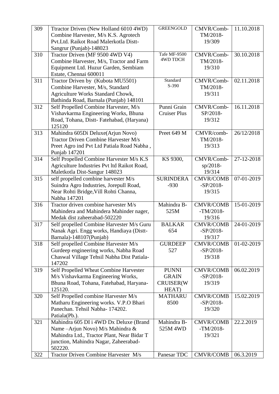| 309 | Ttractor Driven (New Holland 6010 4WD)                          | <b>GREENGOLD</b>    | CMVR/Comb-            | 11.10.2018 |
|-----|-----------------------------------------------------------------|---------------------|-----------------------|------------|
|     | Combine Harvester, M/s K.S. Agrotech                            |                     | TM/2018-              |            |
|     | Pvt.Ltd. Raikot Road Malerkotla Distt-                          |                     | 19/309                |            |
|     | Sangrur (Punjab)-148023                                         |                     |                       |            |
| 310 | Tractor Driven (MF 9500 4WD V4)                                 | Tafe MF-9500        | CMVR/Comb-            | 30.10.2018 |
|     | Combine Harvester, M/s, Tractor and Farm                        | <b>4WD TDCH</b>     | TM/2018-              |            |
|     | Equipment Ltd. Huzur Garden, Sembiam                            |                     | 19/310                |            |
|     | Estate, Chennai 600011                                          |                     |                       |            |
| 311 | Tractor Driven by (Kubota MU5501)                               | Standard<br>S-390   | CMVR/Comb-            | 02.11.2018 |
|     | Combine Harvester, M/s, Standard                                |                     | TM/2018-              |            |
|     | Agriculture Works Standard Chowk,                               |                     | 19/311                |            |
|     | Bathinda Road, Barnala (Punjab) 148101                          |                     |                       |            |
| 312 | Self Propelled Combine Harvester, M/s                           | Punni Grain         | CMVR/Comb-            | 16.11.2018 |
|     | Vishavkarma Engineering Works, Bhuna                            | <b>Cruiser Plus</b> | SP/2018-              |            |
|     | Road, Tohana, Distt-Fatehabad, (Haryana)<br>125120              |                     | 19/312                |            |
| 313 | Mahindra 605Di Deluxe(Arjun Novo)                               | Preet 649 M         | CMVR/comb-            | 26/12/2018 |
|     | Tractor Driven Combine Harvester M/s                            |                     | TM/2018-              |            |
|     | Preet Agro ind Pvt Ltd Patiala Road Nabha,                      |                     | 19/313                |            |
|     | Punjab 147201                                                   |                     |                       |            |
| 314 | Self Propelled Combine Harvester M/s K.S                        | KS 9300,            | CMVR/Comb-            | 27-12-2018 |
|     | Agriculture Industries Pvt ltd Raikot Road,                     |                     | $sp/2018-$            |            |
|     | Maletkotla Dist-Sangur 148023                                   |                     | 19/314                |            |
| 315 | self propelled combine harvester M/s                            | <b>SURINDERA</b>    | <b>CMVR/COMB</b>      | 07-01-2019 |
|     | Suindra Agro Industries, Jorepull Road,                         | $-930$              | $-SP/2018-$           |            |
|     | Near Rohti Bridge, Vill Rohti Channa,                           |                     | 19/315                |            |
|     | Nabha 147201                                                    |                     |                       |            |
| 316 | Tractor driven combine harvester M/s                            | Mahindra B-         | <b>CMVR/COMB</b>      | 15-01-2019 |
|     | Mahindera and Mahindera Mahinder nager,                         | 525M                | $-TM/2018-$           |            |
|     | Medak dist zaheerabad-502220                                    |                     | 19/316                |            |
| 317 | Self propelled Combine Harvester M/s Guru                       | <b>BALKAR</b>       | <b>CMVR/COMB</b>      | 24-01-2019 |
|     | Nanak Agri. Engg works, Handiaya (Distt-                        | 654                 | $-SP/2018-$<br>19/317 |            |
| 318 | Barnala)-148107(Punjab)<br>Self propelled Combine Harvester M/s | <b>GURDEEP</b>      | <b>CMVR/COMB</b>      | 01-02-2019 |
|     | Gurdeep engineering works, Nabha Road                           | 527                 | $-SP/2018-$           |            |
|     | Chaswal Village Tehsil Nabha Dist Patiala-                      |                     | 19/318                |            |
|     | 147202                                                          |                     |                       |            |
| 319 | Self Propelled Wheat Combine Harvester                          | <b>PUNNI</b>        | <b>CMVR/COMB</b>      | 06.02.2019 |
|     | M/s Vishavkarma Engineering Works,                              | <b>GRAIN</b>        | $-SP/2018-$           |            |
|     | Bhuna Road, Tohana, Fatehabad, Haryana-                         | CRUISER(W           | 19/319                |            |
|     | 125120.                                                         | HEAT)               |                       |            |
| 320 | Self Propelled combine Harvester M/s                            | <b>MATHARU</b>      | <b>CMVR/COMB</b>      | 15.02.2019 |
|     | Matharu Engineering works. V.P.O Bhari                          | 8500                | $-SP/2018-$           |            |
|     | Panechan. Tehsil Nabha-174202.                                  |                     | 19/320                |            |
|     | Patiala(Pb.).                                                   |                     |                       |            |
| 321 | Mahindra 605 DI i 4WD Dx Deluxe (Brand                          | Mahindra B-         | <b>CMVR/COMB</b>      | 22.2.2019  |
|     | Name - Arjun Novo) M/s Mahindra &                               | 525M 4WD            | $-TM/2018-$           |            |
|     | Mahindra Ltd., Tractor Plant, Near Bidar T                      |                     | 19/321                |            |
|     | junction, Mahindra Nagar, Zaheerabad-                           |                     |                       |            |
|     | 502220.                                                         |                     |                       |            |
| 322 | Tractor Driven Combine Harvester M/s                            | Panesar TDC         | <b>CMVR/COMB</b>      | 06.3.2019  |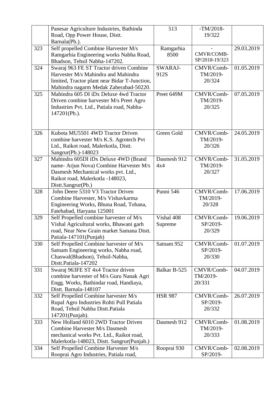|     | Panesar Agriculture Industries, Bathinda                                       | 513            | $-TM/2018-$            |                         |
|-----|--------------------------------------------------------------------------------|----------------|------------------------|-------------------------|
|     | Road, Opp Power House, Distt.                                                  |                | 19/322                 |                         |
|     | Barnala(Pb.).                                                                  |                |                        |                         |
| 323 | Self propelled Combine Harvester M/s                                           | Ramgarhia      |                        | 29.03.2019              |
|     | Ramgarhia Engineering works Nabha Road,                                        | 8500           | CMVR/COMB-             |                         |
|     | Bhadson, Tehsil Nabha-147202.                                                  |                | SP/2018-19/323         |                         |
| 324 | Swaraj 963 FE ST Tractor driven Combine                                        | SWARAJ-        | CMVR/Comb-             | 01.05.2019              |
|     | Harvester M/s Mahindra and Mahindra                                            | 912S           | TM/2019-               |                         |
|     | limited, Tractor plant near Bidar T-Junction,                                  |                | 20/324                 |                         |
|     | Mahindra nagarm Medak Zaherabad-50220.                                         |                |                        |                         |
| 325 | Mahindra 605 DI iDx Deluxe 4wd Tractor                                         | Preet 649M     | CMVR/Comb-             | $\overline{07.05.2019}$ |
|     | Driven combine harvester M/s Preet Agro                                        |                | TM/2019-               |                         |
|     | Industries Pvt. Ltd., Patiala road, Nabha-                                     |                | 20/325                 |                         |
|     | 147201(Pb.).                                                                   |                |                        |                         |
|     |                                                                                |                |                        |                         |
|     |                                                                                |                |                        |                         |
| 326 | Kubota MU5501 4WD Tractor Driven                                               | Green Gold     | CMVR/Comb-             | 24.05.2019              |
|     | combine harvester M/s K.S. Agrotech Pvt                                        |                | TM/2019-               |                         |
|     | Ltd., Raikot road, Malerkotla, Distt.                                          |                | 20/326                 |                         |
|     | Sangrur(Pb.)-148023                                                            | Dasmesh 912    |                        |                         |
| 327 | Mahindra 605DI iDx Deluxe 4WD (Brand                                           | 4x4            | CMVR/Comb-<br>TM/2019- | 31.05.2019              |
|     | name- Arjun Nova) Combine Harvester M/s<br>Dasmesh Mechanical works pvt. Ltd., |                | 20/327                 |                         |
|     | Raikot road, Malerkotla -148023,                                               |                |                        |                         |
|     | Distt.Sangrur(Pb.)                                                             |                |                        |                         |
| 328 | John Deere 5310 V3 Tractor Driven                                              | Punni 546      | CMVR/Comb-             | 17.06.2019              |
|     | Combine Harvester, M/s Vishavkarma                                             |                | TM/2019-               |                         |
|     | Engineering Works, Bhuna Road, Tohana,                                         |                | 20/328                 |                         |
|     | Fatehabad, Haryana 125001                                                      |                |                        |                         |
| 329 | Self Propelled combine harvester of M/s                                        | Vishal 408     | CMVR/Comb-             | 19.06.2019              |
|     | Vishal Agricultural works, Bhawani garh                                        | Supreme        | SP/2019-               |                         |
|     | road, Near New Grain market Samana Distt.                                      |                | 20/329                 |                         |
|     | Patiala-147101(Punjab)                                                         |                |                        |                         |
| 330 | Self Propelled Combine harvester of M/s                                        | Satnam 952     | CMVR/Comb-             | 01.07.2019              |
|     | Satnam Engineering works, Nabha road,                                          |                | SP/2019-               |                         |
|     | Chaswal(Bhadson), Tehsil-Nabha,                                                |                | 20/330                 |                         |
|     | Distt.Patiala-147202                                                           |                |                        |                         |
| 331 | Swaraj 963FE ST 4x4 Tractor driven                                             | Balkar B-525   | CMVR/Comb-             | 04.07.2019              |
|     | combine harvester of M/s Guru Nanak Agri                                       |                | TM/2019-               |                         |
|     | Engg. Works, Bathindar road, Handiaya,                                         |                | 20/331                 |                         |
|     | Distt. Barnala-148107                                                          |                |                        |                         |
| 332 | Self Propelled Combine harvester M/s                                           | <b>HSR 987</b> | CMVR/Comb-             | 26.07.2019              |
|     | Rupal Agro Industries Rohti Pull Patiala                                       |                | SP/2019-               |                         |
|     | Road, Tehsil Nabha Distt. Patiala                                              |                | 20/332                 |                         |
|     | 147201(Punjab).<br>New Holland 6010 2WD Tractor Driven                         | Dasmesh 912    |                        |                         |
| 333 | Combine Harvester M/s Dasmesh                                                  |                | CMVR/Comb-<br>TM/2019- | 01.08.2019              |
|     | mechanical works Pvt. Ltd., Raikot road,                                       |                | 20/333                 |                         |
|     | Malerkotla-148023, Distt. Sangrur(Punjab.)                                     |                |                        |                         |
| 334 | Self Propelled Combine Harvester M/s                                           | Rooprai 930    | CMVR/Comb-             | 02.08.2019              |
|     | Rooprai Agro Industries, Patiala road,                                         |                | SP/2019-               |                         |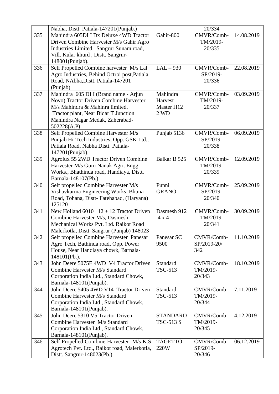|     | Nabha, Distt. Patiala-147201(Punjab.)           |                 | 20/334      |            |
|-----|-------------------------------------------------|-----------------|-------------|------------|
| 335 | Mahindra 605DI I Dx Deluxe 4WD Tractor          | Gahir-800       | CMVR/Comb-  | 14.08.2019 |
|     | Driven Combine Harvester M/s Gahir Agro         |                 | TM/2019-    |            |
|     | Industries Limited, Sangrur Sunam road,         |                 | 20/335      |            |
|     | Vill. Kular khurd, Distt. Sangrur-              |                 |             |            |
|     | 148001(Punjab).                                 |                 |             |            |
| 336 | Self Propelled Combine harvester M/s Lal        | $LAL-930$       | CMVR/Comb-  | 22.08.2019 |
|     | Agro Industries, Behind Octroi post, Patiala    |                 | SP/2019-    |            |
|     | Road, NAbha, Distt. Patiala-147201              |                 | 20/336      |            |
|     | (Punjab)                                        |                 |             |            |
| 337 | Mahindra 605 DI I (Brand name - Arjun           | Mahindra        | CMVR/Comb-  | 03.09.2019 |
|     | Novo) Tractor Driven Combine Harvester          | Harvest         | TM/2019-    |            |
|     | M/s Mahindra & Mahinra limited,                 | Master H12      | 20/337      |            |
|     | Tractor plant, Near Bidar T Junction            | 2 WD            |             |            |
|     | Mahindra Nagar Medak, Zaherabad-                |                 |             |            |
|     | 502228(A.P).                                    |                 |             |            |
| 338 | Self Propelled Combine Harvester M/s            | Punjab 5136     | CMVR/Comb-  | 06.09.2019 |
|     | Punjab Hi-Tech Industries, Opp. GSK Ltd.,       |                 | SP/2019-    |            |
|     | Patiala Road, Nabha Distt. Patiala-             |                 | 20/338      |            |
|     | 147201(Punjab).                                 |                 |             |            |
| 339 | Agrolux 55 2WD Tractor Driven Combine           | Balkar B 525    | CMVR/Comb-  | 12.09.2019 |
|     | Harvester M/s Guru Nanak Agri. Engg.            |                 | TM/2019-    |            |
|     | Works., Bhathinda road, Handiaya, Distt.        |                 | 20/339      |            |
|     | Barnala-148107(Pb.)                             |                 |             |            |
| 340 | Self propelled Combine Harvester M/s            | Punni           | CMVR/Comb-  | 25.09.2019 |
|     | Vishavkarma Engineering Works, Bhuna            | <b>GRANO</b>    | SP/2019-    |            |
|     | Road, Tohana, Distt-Fatehabad, (Haryana)        |                 | 20/340      |            |
|     | 125120                                          |                 |             |            |
| 341 | New Holland $6010 \quad 12 + 12$ Tractor Driven | Dasmesh 912     | CMVR/Comb-  | 30.09.2019 |
|     | Combine Harvester M/s, Dasmesh                  | 4x4             | TM/2019-    |            |
|     | Mechanical Works Pvt. Ltd. Raikot Road          |                 | 20/341      |            |
|     | Malerkotla, Distt. Sangrur (Punjab) 148023      |                 |             |            |
| 342 | Self propelled Combine Harvester Panesar        | Panesar SC      | CMVR/Comb-  | 11.10.2019 |
|     | Agro Tech, Bathinda road, Opp. Power            | 9500            | SP/2019-20/ |            |
|     | House, Near Handiaya chowk, Barnala-            |                 | 342         |            |
|     | 148101(Pb.).                                    |                 |             |            |
| 343 | John Deere 5075E 4WD V4 Tractor Driven          | Standard        | CMVR/Comb-  | 18.10.2019 |
|     | Combine Harvester M/s Standard                  | <b>TSC-513</b>  | TM/2019-    |            |
|     | Corporation India Ltd., Standard Chowk,         |                 | 20/343      |            |
|     | Barnala-148101(Punjab).                         |                 |             |            |
| 344 | John Deere 5405 4WD V14 Tractor Driven          | Standard        | CMVR/Comb-  | 7.11.2019  |
|     | Combine Harvester M/s Standard                  | <b>TSC-513</b>  | TM/2019-    |            |
|     | Corporation India Ltd., Standard Chowk,         |                 | 20/344      |            |
|     | Barnala-148101(Punjab).                         |                 |             |            |
| 345 | John Deere 5310 V5 Tractor Driven               | <b>STANDARD</b> | CMVR/Comb-  | 4.12.2019  |
|     | Combine Harvester M/s Standard                  | TSC-513 S       | TM/2019-    |            |
|     | Corporation India Ltd., Standard Chowk,         |                 | 20/345      |            |
|     | Barnala-148101(Punjab).                         |                 |             |            |
| 346 | Self Propelled Combine Harvester M/s K.S        | <b>TAGETTO</b>  | CMVR/Comb-  | 06.12.2019 |
|     | Agrotech Pvt. Ltd., Raikot road, Malerkotla,    | 220W            | SP/2019-    |            |
|     | Distt. Sangrur-148023(Pb.)                      |                 | 20/346      |            |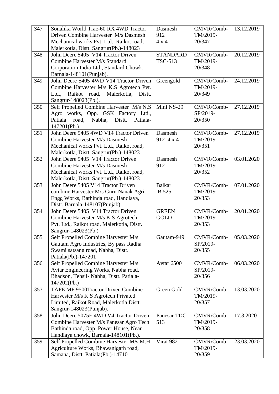| 347 | Sonalika World Trac-60 RX 4WD Tractor                       | Dasmesh               | CMVR/Comb-             | 13.12.2019 |
|-----|-------------------------------------------------------------|-----------------------|------------------------|------------|
|     | Driven Combine Harvester M/s Dasmesh                        | 912                   | TM/2019-               |            |
|     | Mechanical works Pvt. Ltd., Raikot road,                    | $4 \times 4$          | 20/347                 |            |
|     | Malerkotla, Distt. Sangrur(Pb.)-148023                      |                       |                        |            |
| 348 | John Deere 5405 V14 Tractor Driven                          | <b>STANDARD</b>       | CMVR/Comb-             | 20.12.2019 |
|     | Combine Harvester M/s Standard                              | <b>TSC-513</b>        | TM/2019-               |            |
|     | Corporation India Ltd., Standard Chowk,                     |                       | 20/348                 |            |
|     | Barnala-148101(Punjab).                                     |                       |                        |            |
| 349 | John Deere 5405 4WD V14 Tractor Driven                      | Greengold             | CMVR/Comb-             | 24.12.2019 |
|     | Combine Harvester M/s K.S Agrotech Pvt.                     |                       | TM/2019-               |            |
|     | Ltd., Raikot road, Malerkotla,<br>Distt.                    |                       | 20/349                 |            |
|     | Sangrur-148023(Pb.).                                        |                       |                        |            |
| 350 | Self Propelled Combine Harvester M/s N.S                    | Mini NS-29            | CMVR/Comb-             | 27.12.2019 |
|     | Agro works, Opp. GSK Factory Ltd.,                          |                       | SP/2019-               |            |
|     | Nabha,<br>Distt.<br>Patiala-<br>Patiala<br>road,            |                       | 20/350                 |            |
|     | 147201(Pb.)<br>John Deere 5405 4WD V14 Tractor Driven       | Dasmesh               |                        |            |
| 351 | <b>Combine Harvester M/s Dasmesh</b>                        | 912 4 x 4             | CMVR/Comb-<br>TM/2019- | 27.12.2019 |
|     | Mechanical works Pvt. Ltd., Raikot road,                    |                       | 20/351                 |            |
|     | Malerkotla, Distt. Sangrur(Pb.)-148023                      |                       |                        |            |
| 352 | John Deere 5405 V14 Tractor Driven                          | Dasmesh               | CMVR/Comb-             | 03.01.2020 |
|     | Combine Harvester M/s Dasmesh                               | 912                   | TM/2019-               |            |
|     | Mechanical works Pvt. Ltd., Raikot road,                    |                       | 20/352                 |            |
|     | Malerkotla, Distt. Sangrur(Pb.)-148023                      |                       |                        |            |
| 353 | John Deere 5405 V14 Tractor Driven                          | <b>Balkar</b>         | CMVR/Comb-             | 07.01.2020 |
|     | combine Harvester M/s Guru Nanak Agri                       | <b>B</b> 525          | TM/2019-               |            |
|     | Engg Works, Bathinda road, Handiaya,                        |                       | 20/353                 |            |
|     | Distt. Barnala-148107(Punjab)                               |                       |                        |            |
| 354 | John Deere 5405 V14 Tractor Driven                          | <b>GREEN</b>          | CMVR/Comb-             | 20.01.2020 |
|     | Combine Harvester M/s K.S Agrotech                          | <b>GOLD</b>           | TM/2019-               |            |
|     | Pvt. Ltd., Raikot road, Malerkotla, Distt.                  |                       | 20/353                 |            |
|     | Sangrur-148023(Pb.)                                         |                       |                        |            |
| 355 | Self Propelled Combine Harvester M/s                        | Gautam-949            | CMVR/Comb-             | 05.03.2020 |
|     | Gautam Agro Industries, By pass Radha                       |                       | SP/2019-               |            |
|     | Swami satsang road, Nabha, Distt.                           |                       | 20/355                 |            |
| 356 | Patiala(Pb.)-147201<br>Self Propelled Combine Harvester M/s | Avtar <sub>6500</sub> | CMVR/Comb-             | 06.03.2020 |
|     | Avtar Engineering Works, Nabha road,                        |                       | SP/2019-               |            |
|     | Bhadson, Tehsil- Nabha, Distt. Patiala-                     |                       | 20/356                 |            |
|     | 147202(Pb.)                                                 |                       |                        |            |
| 357 | TAFE MF 9500Tractor Driven Combine                          | Green Gold            | CMVR/Comb-             | 13.03.2020 |
|     | Harvester M/s K.S Agrotech Privated                         |                       | TM/2019-               |            |
|     | Limited, Raikot Road, Malerkotla Distt.                     |                       | 20/357                 |            |
|     | Sangrur-148023(Punjab).                                     |                       |                        |            |
| 358 | John Deere 5075E 4WD V4 Tractor Driven                      | Panesar TDC           | CMVR/Comb-             | 17.3.2020  |
|     | Combine Harvester M/s Panesar Agro Tech                     | 513                   | TM/2019-               |            |
|     | Bathinda road, Opp. Power House, Near                       |                       | 20/358                 |            |
|     | Handiaya chowk, Barnala-148101(Pb.).                        |                       |                        |            |
| 359 | Self Propelled Combine Harvester M/s M.H                    | Virat 982             | CMVR/Comb-             | 23.03.2020 |
|     | Agriculture Works, Bhawanigarh road,                        |                       | TM/2019-               |            |
|     | Samana, Distt. Patiala(Pb.)-147101                          |                       | 20/359                 |            |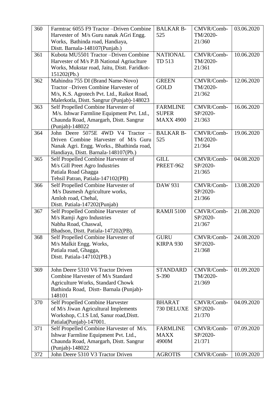| 360 | Farmtrac 6055 F9 Tractor - Driven Combine<br>Harvester of M/s Guru nanak AGri Engg.                                                                                    | <b>BALKAR B-</b><br>525                             | CMVR/Comb-<br>TM/2020-           | 03.06.2020 |
|-----|------------------------------------------------------------------------------------------------------------------------------------------------------------------------|-----------------------------------------------------|----------------------------------|------------|
|     | Works, Bathinda road, Handiaya,<br>Distt. Barnala-148107(Punjab.)                                                                                                      |                                                     | 21/360                           |            |
| 361 | Kubota MU5501 Tractor - Driven Combine<br>Harvester of M/s P.B National Agriuclture<br>Works, Mukstar road, Jaitu, Distt. Faridkot-<br>151202(Pb.)                     | <b>NATIONAL</b><br>TD 513                           | CMVR/Comb-<br>TM/2020-<br>21/361 | 10.06.2020 |
| 362 | Mahindra 755 DI (Brand Name-Novo)<br>Tractor-Driven Combine Harvester of<br>M/s, K.S. Agrotech Pvt. Ltd., Raikot Road,<br>Malerkotla, Distt. Sangrur (Punjab)-148023   | <b>GREEN</b><br><b>GOLD</b>                         | CMVR/Comb-<br>TM/2020-<br>21/362 | 12.06.2020 |
| 363 | Self Propelled Combine Harvester of<br>M/s. Ishwar Farmline Equipment Pvt. Ltd.,<br>Chaunda Road, Amargarh, Distt. Sangrur<br>(Punjab)-148022                          | <b>FARMLINE</b><br><b>SUPER</b><br><b>MAXX 4900</b> | CMVR/Comb-<br>SP/2020-<br>21/363 | 16.06.2020 |
| 364 | John Deere 5075E 4WD V4 Tractor<br>Driven Combine Harvester of M/s Guru<br>Nanak Agri. Engg. Works., Bhathinda road,<br>Handiaya, Distt. Barnala-148107(Pb.)           | <b>BALKAR B-</b><br>525                             | CMVR/Comb-<br>TM/2020-<br>21/364 | 19.06.2020 |
| 365 | Self Propelled Combine Harvester of<br>M/s Gill Preet Agro Industries<br>Patiala Road Ghagga<br>Tehsil Patran, Patiala-147102(PB)                                      | <b>GILL</b><br>PREET-962                            | CMVR/Comb-<br>SP/2020-<br>21/365 | 04.08.2020 |
| 366 | Self Propelled Combine Harvester of<br>M/s Dasmesh Agriculture works,<br>Amloh road, Chehal,<br>Distt. Patiala-147202(Punjab)                                          | DAW 931                                             | CMVR/Comb-<br>SP/2020-<br>21/366 | 13.08.2020 |
| 367 | Self Propelled Combine Harvester of<br>M/s Ramji Agro Industries<br>Nabha Road, Chaswal,<br>Bhadson, Distt. Patiala-147202(PB).                                        | <b>RAMJI 5100</b>                                   | CMVR/Comb-<br>SP/2020-<br>21/367 | 21.08.2020 |
| 368 | Self Propelled Combine Harvester of<br>M/s Malkit Engg. Works,<br>Patiala road, Ghagga,<br>Distt. Patiala-147102(PB.)                                                  | <b>GURU</b><br>KIRPA 930                            | CMVR/Comb-<br>SP/2020-<br>21/368 | 24.08.2020 |
| 369 | John Deere 5310 V6 Tractor Driven<br>Combine Harvester of M/s Standard<br><b>Agriculture Works, Standard Chowk</b><br>Bathinda Road, Distt-Barnala (Punjab)-<br>148101 | <b>STANDARD</b><br>$S-390$                          | CMVR/Comb-<br>TM/2020-<br>21/369 | 01.09.2020 |
| 370 | Self Propelled Combine Harvester<br>of M/s Jiwan Agricultural Implements<br>Workshop, C.I.S Ltd, Sanur road, Distt.<br>Patiala(Punjab)-147001.                         | <b>BHARAT</b><br>730 DELUXE                         | CMVR/Comb-<br>SP/2020-<br>21/370 | 04.09.2020 |
| 371 | Self Propelled Combine Harvester of M/s.<br>Ishwar Farmline Equipment Pvt. Ltd.,<br>Chaunda Road, Amargarh, Distt. Sangrur<br>(Punjab)-148022                          | <b>FARMLINE</b><br><b>MAXX</b><br>4900M             | CMVR/Comb-<br>SP/2020-<br>21/371 | 07.09.2020 |
| 372 | John Deere 5310 V3 Tractor Driven                                                                                                                                      | <b>AGROTIS</b>                                      | CMVR/Comb-                       | 10.09.2020 |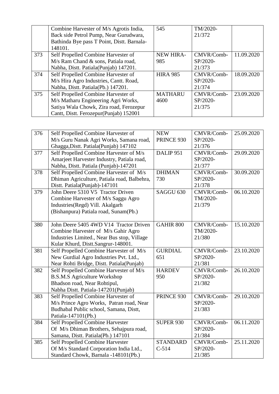|     | Combine Harvester of M/s Agrotis India,    | 545              | TM/2020-   |            |
|-----|--------------------------------------------|------------------|------------|------------|
|     | Back side Petrol Pump, Near Gurudwara,     |                  | 21/372     |            |
|     | Bathinda Bye pass T Point, Distt. Barnala- |                  |            |            |
|     | 148101.                                    |                  |            |            |
| 373 | Self Propelled Combine Harvester of        | <b>NEW HIRA-</b> | CMVR/Comb- | 11.09.2020 |
|     | M/s Ram Chand & sons, Patiala road,        | 985              | SP/2020-   |            |
|     | Nabha, Distt. Patiala (Punjab) 147201.     |                  | 21/373     |            |
| 374 | Self Propelled Combine Harvester of        | <b>HIRA 985</b>  | CMVR/Comb- | 18.09.2020 |
|     | M/s Hira Agro Industries, Cantt. Road,     |                  | SP/2020-   |            |
|     | Nabha, Distt. Patiala(Pb.) 147201.         |                  | 21/374     |            |
| 375 | Self Propelled Combine Harvester of        | <b>MATHARU</b>   | CMVR/Comb- | 23.09.2020 |
|     | M/s Matharu Engineering Agri Works,        | 4600             | SP/2020-   |            |
|     | Satiya Wala Chowk, Zira road, Ferozepur    |                  | 21/375     |            |
|     | Cantt, Distt. Ferozepur(Punjab) 152001     |                  |            |            |

| 376 | Self Propelled Combine Harvester of         | <b>NEW</b>           | CMVR/Comb- | 25.09.2020 |
|-----|---------------------------------------------|----------------------|------------|------------|
|     | M/s Guru Nanak Agri Works, Samana road,     | PRINCE 930           | SP/2020-   |            |
|     | Ghagga, Distt. Patiala (Punjab) 147102      |                      | 21/376     |            |
| 377 | Self Propelled Combine Harvester of M/s     | DALIP <sub>951</sub> | CMVR/Comb- | 29.09.2020 |
|     | Amarjeet Harvester Industry, Patiala road,  |                      | SP/2020-   |            |
|     | Nabha, Distt. Patiala (Punjab)-147201       |                      | 21/377     |            |
| 378 | Self Propelled Combine Harvester of M/s     | <b>DHIMAN</b>        | CMVR/Comb- | 30.09.2020 |
|     | Dhiman Agriculture, Patiala road, Balbehra, | 730                  | SP/2020-   |            |
|     | Distt. Patiala(Punjab)-147101               |                      | 21/378     |            |
| 379 | John Deere 5310 V5 Tractor Driven           | SAGGU <sub>630</sub> | CMVR/Comb- | 06.10.2020 |
|     | Combine Harvester of M/s Saggu Agro         |                      | TM/2020-   |            |
|     | Industries (Regd) Vill. Akalgarh            |                      | 21/379     |            |
|     | (Bishanpura) Patiala road, Sunam(Pb.)       |                      |            |            |
|     |                                             |                      |            |            |
| 380 | John Deere 5405 4WD V14 Tractor Driven      | <b>GAHIR 800</b>     | CMVR/Comb- | 15.10.2020 |
|     | Combine Harvester of M/s Gahir Agro         |                      | TM/2020-   |            |
|     | Industries Limited., Near Bus stop, Village |                      | 21/380     |            |
|     | Kular Khurd, Distt.Sangrur-148001.          |                      |            |            |
| 381 | Self Propelled Combine Harvester of M/s     | <b>GURDIAL</b>       | CMVR/Comb- | 23.10.2020 |
|     | New Gurdial Agro Industries Pvt. Ltd.,      | 651                  | SP/2020-   |            |
|     | Near Rohti Bridge, Distt. Patiala(Punjab)   |                      | 21/381     |            |
| 382 | Self Propelled Combine Harvester of M/s     | <b>HARDEV</b>        | CMVR/Comb- | 26.10.2020 |
|     | <b>B.S.M.S Agriculture Workshop</b>         | 950                  | SP/2020-   |            |
|     | Bhadson road, Near Rohtipul,                |                      | 21/382     |            |
|     | Nabha Distt. Patiala-147201(Punjab)         |                      |            |            |
| 383 | Self Propelled Combine Harvester of         | PRINCE 930           | CMVR/Comb- | 29.10.2020 |
|     | M/s Prince Agro Works, Patran road, Near    |                      | SP/2020-   |            |
|     | Budhabal Public school, Samana, Distt,      |                      | 21/383     |            |
|     | Patiala-147101(Pb.)                         |                      |            |            |
| 384 | Self Propelled Combine Harvester            | <b>SUPER 930</b>     | CMVR/Comb- | 06.11.2020 |
|     | Of M/s Dhiman Brothers, Sehajpura road,     |                      | SP/2020-   |            |
|     | Samana, Distt. Patiala(Pb.) 147101          |                      | 21/384     |            |
| 385 | Self Propelled Combine Harvester            | <b>STANDARD</b>      | CMVR/Comb- | 25.11.2020 |
|     | Of M/s Standard Corporation India Ltd.,     | $C-514$              | SP/2020-   |            |
|     | Standard Chowk, Barnala -148101(Pb.)        |                      | 21/385     |            |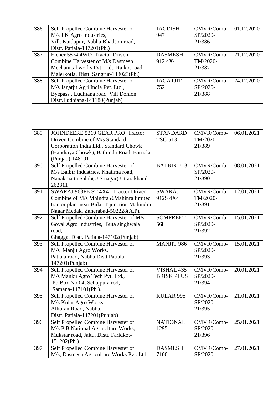| 386 | Self Propelled Combine Harvester of      | JAGDISH-        | CMVR/Comb- | 01.12.2020 |
|-----|------------------------------------------|-----------------|------------|------------|
|     | M/s J.K Agro Industries,                 | 947             | SP/2020-   |            |
|     | Vill. Kaidupur, Nabha Bhadson road,      |                 | 21/386     |            |
|     | Distt. Patiala-147201(Pb.)               |                 |            |            |
| 387 | Eicher 5574 4WD Tractor Driven           | <b>DASMESH</b>  | CMVR/Comb- | 21.12.2020 |
|     | Combine Harvester of M/s Dasmesh         | 912 4X4         | TM/2020-   |            |
|     | Mechanical works Pvt. Ltd., Raikot road, |                 | 21/387     |            |
|     | Malerkotla, Distt. Sangrur-148023(Pb.)   |                 |            |            |
| 388 | Self Propelled Combine Harvester of      | <b>JAGATJIT</b> | CMVR/Comb- | 24.12.2020 |
|     | M/s Jagatjit Agri India Pvt. Ltd.,       | 752             | SP/2020-   |            |
|     | Byepass, Ludhiana road, Vill Dohlon      |                 | 21/388     |            |
|     | Distt.Ludhiana-141180(Punjab)            |                 |            |            |

| 389 | JOHNDEERE 5210 GEAR PRO Tractor              | <b>STANDARD</b>   | CMVR/Comb- | 06.01.2021 |
|-----|----------------------------------------------|-------------------|------------|------------|
|     | Driven Combine of M/s Standard               | <b>TSC-513</b>    | TM/2020-   |            |
|     | Corporation India Ltd., Standard Chowk       |                   | 21/389     |            |
|     | (Handiaya Chowk), Bathinda Road, Barnala     |                   |            |            |
|     | (Punjab)-148101                              |                   |            |            |
| 390 | Self Propelled Combine Harvester of          | BALBIR-713        | CMVR/Comb- | 08.01.2021 |
|     | M/s Balbir Industries, Khatima road,         |                   | SP/2020-   |            |
|     | Nanakmatta Sahib(U.S nagar) Uttarakhand-     |                   | 21/390     |            |
|     | 262311                                       |                   |            |            |
| 391 | SWARAJ 963FE ST 4X4 Tractor Driven           | <b>SWARAJ</b>     | CMVR/Comb- | 12.01.2021 |
|     | Combine of M/s Mhindra & Mahinra limited     | 912S 4X4          | TM/2020-   |            |
|     | tractor plant near Bidar T junction Mahindra |                   | 21/391     |            |
|     | Nagar Medak, Zaherabad-502228(A.P).          |                   |            |            |
| 392 | Self Propelled Combine Harvester of M/s      | <b>SOMPREET</b>   | CMVR/Comb- | 15.01.2021 |
|     | Goyal Agro Industries, Buta singhwala        | 568               | SP/2020-   |            |
|     | road,                                        |                   | 21/392     |            |
|     | Ghagga, Distt. Patiala-147102(Punjab)        |                   |            |            |
| 393 | Self Propelled Combine Harvester of          | <b>MANJIT 986</b> | CMVR/Comb- | 15.01.2021 |
|     | M/s Manjit Agro Works,                       |                   | SP/2020-   |            |
|     | Patiala road, Nabha Distt.Patiala            |                   | 21/393     |            |
|     | 147201(Punjab)                               |                   |            |            |
| 394 | Self Propelled Combine Harvester of          | VISHAL 435        | CMVR/Comb- | 20.01.2021 |
|     | M/s Manku Agro Tech Pvt. Ltd.,               | <b>BRISK PLUS</b> | SP/2020-   |            |
|     | Po Box No.04, Sehajpura rod,                 |                   | 21/394     |            |
|     | Samana-147101(Pb.).                          |                   |            |            |
| 395 | Self Propelled Combine Harvester of          | KULAR 995         | CMVR/Comb- | 21.01.2021 |
|     | M/s Kular Agro Works,                        |                   | SP/2020-   |            |
|     | Alhoran Road, Nabha,                         |                   | 21/395     |            |
|     | Distt. Patiala-147201(Punjab)                |                   |            |            |
| 396 | Self Propelled Combine Harvester of          | <b>NATIONAL</b>   | CMVR/Comb- | 25.01.2021 |
|     | M/s P.B National Agriuclture Works,          | 1295              | SP/2020-   |            |
|     | Mukstar road, Jaitu, Distt. Faridkot-        |                   | 21/396     |            |
|     | 151202(Pb.)                                  |                   |            |            |
| 397 | Self Propelled Combine Harvester of          | <b>DASMESH</b>    | CMVR/Comb- | 27.01.2021 |
|     | M/s, Dasmesh Agriculture Works Pvt. Ltd.     | 7100              | SP/2020-   |            |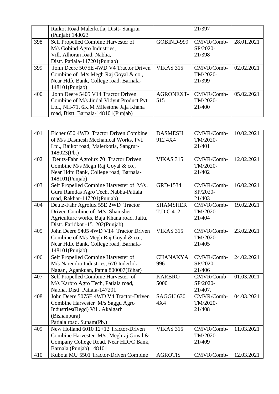|     | Raikot Road Malerkotla, Distt-Sangrur     |                  | 21/397     |            |
|-----|-------------------------------------------|------------------|------------|------------|
|     | (Punjab) 148023                           |                  |            |            |
| 398 | Self Propelled Combine Harvester of       | GOBIND-999       | CMVR/Comb- | 28.01.2021 |
|     | M/s Gobind Agro Industries,               |                  | SP/2020-   |            |
|     | Vill. Alhoran road, Nabha,                |                  | 21/398     |            |
|     | Distt. Patiala-147201(Punjab)             |                  |            |            |
| 399 | John Deere 5075E 4WD V4 Tractor Driven    | <b>VIKAS 315</b> | CMVR/Comb- | 02.02.2021 |
|     | Combine of M/s Megh Raj Goyal & co.,      |                  | TM/2020-   |            |
|     | Near Hdfc Bank, College road, Barnala-    |                  | 21/399     |            |
|     | 148101(Punjab)                            |                  |            |            |
| 400 | John Deere 5405 V14 Tractor Driven        | <b>AGRONEXT-</b> | CMVR/Comb- | 05.02.2021 |
|     | Combine of M/s Jindal Vidyut Product Pvt. | 515              | TM/2020-   |            |
|     | Ltd., NH-71, 6K.M Milestone Jaja Khana    |                  | 21/400     |            |
|     | road, Bistt. Barnala-148101(Punjab)       |                  |            |            |

| 401 | Eicher 650 4WD Tractor Driven Combine      | <b>DASMESH</b>       | CMVR/Comb- | 10.02.2021 |
|-----|--------------------------------------------|----------------------|------------|------------|
|     | of M/s Dasmesh Mechanical Works, Pvt.      | 912 4X4              | TM/2020-   |            |
|     | Ltd., Raikot road, Malerkotla, Sangrur-    |                      | 21/401     |            |
|     | 148023(Pb.)                                |                      |            |            |
| 402 | Deutz-Fahr Agrolux 70 Tractor Driven       | <b>VIKAS 315</b>     | CMVR/Comb- | 12.02.2021 |
|     | Combine M/s Megh Raj Goyal & co.,          |                      | TM/2020-   |            |
|     | Near Hdfc Bank, College road, Barnala-     |                      | 21/402     |            |
|     | 148101(Punjab)                             |                      |            |            |
| 403 | Self Propelled Combine Harvester of M/s.   | GRD-1534             | CMVR/Comb- | 16.02.2021 |
|     | Guru Ramdas Agro Tech, Nabha-Patiala       |                      | SP/2020-   |            |
|     | road, Rakhar-147201(Punjab)                |                      | 21/403     |            |
| 404 | Deutz-Fahr Agrolux 55E 2WD Tractor         | <b>SHAMSHER</b>      | CMVR/Comb- | 19.02.2021 |
|     | Driven Combine of M/s. Shamsher            | T.D.C 412            | TM/2020-   |            |
|     | Agriculture works, Baja Khana road, Jaitu, |                      | 21/404     |            |
|     | Distt. Faridkot -151202(Punjab)            |                      |            |            |
| 405 | John Deere 5405 4WD V14 Tractor Driven     | <b>VIKAS 315</b>     | CMVR/Comb- | 23.02.2021 |
|     | Combine of M/s Megh Raj Goyal & co.,       |                      | TM/2020-   |            |
|     | Near Hdfc Bank, College road, Barnala-     |                      | 21/405     |            |
|     | 148101(Punjab)                             |                      |            |            |
| 406 | Self Propelled Combine Harvester of        | <b>CHANAKYA</b>      | CMVR/Comb- | 24.02.2021 |
|     | M/s Narendra Industries, 670 Inderlok      | 996                  | SP/2020-   |            |
|     | Nagar, Agankuan, Patna 800007(Bihar)       |                      | 21/406     |            |
| 407 | Self Propelled Combine Harvester of        | <b>KARBRO</b>        | CMVR/Comb- | 01.03.2021 |
|     | M/s Karbro Agro Tech, Patiala road,        | 5000                 | SP/2020-   |            |
|     | Nabha, Distt. Patiala-147201               |                      | 21/407.    |            |
| 408 | John Deere 5075E 4WD V4 Tractor-Driven     | SAGGU <sub>630</sub> | CMVR/Comb- | 04.03.2021 |
|     | Combine Harvester M/s Saggu Agro           | 4X4                  | TM/2020-   |            |
|     | Industries (Regd) Vill. Akalgarh           |                      | 21/408     |            |
|     | (Bishanpura)                               |                      |            |            |
|     | Patiala road, Sunam(Pb.)                   |                      |            |            |
| 409 | New Holland 6010 12+12 Tractor-Driven      | <b>VIKAS 315</b>     | CMVR/Comb- | 11.03.2021 |
|     | Combine Harvester M/s, Meghraj Goyal &     |                      | TM/2020-   |            |
|     | Company College Road, Near HDFC Bank,      |                      | 21/409     |            |
|     | Barnala (Punjab) 148101.                   |                      |            |            |
| 410 | Kubota MU 5501 Tractor-Driven Combine      | <b>AGROTIS</b>       | CMVR/Comb- | 12.03.2021 |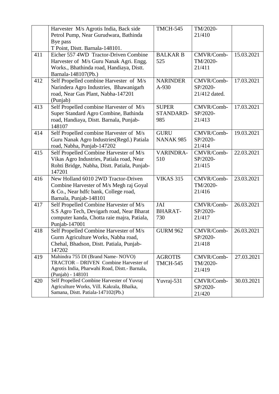|     | Harvester M/s Agrotis India, Back side                                                                                                                                                                                                                                                                                                        | <b>TMCH-545</b>               | TM/2020-                                   |            |
|-----|-----------------------------------------------------------------------------------------------------------------------------------------------------------------------------------------------------------------------------------------------------------------------------------------------------------------------------------------------|-------------------------------|--------------------------------------------|------------|
|     | Petrol Pump, Near Gurudwara, Bathinda                                                                                                                                                                                                                                                                                                         |                               | 21/410                                     |            |
|     | Bye pass                                                                                                                                                                                                                                                                                                                                      |                               |                                            |            |
|     | T Point, Distt. Barnala-148101.                                                                                                                                                                                                                                                                                                               |                               |                                            |            |
| 411 | Eicher 557 4WD Tractor-Driven Combine                                                                                                                                                                                                                                                                                                         | <b>BALKAR B</b>               | CMVR/Comb-                                 | 15.03.2021 |
|     | Harvester of M/s Guru Nanak Agri. Engg.                                                                                                                                                                                                                                                                                                       | 525                           | TM/2020-                                   |            |
|     | Works., Bhathinda road, Handiaya, Distt.                                                                                                                                                                                                                                                                                                      |                               | 21/411                                     |            |
|     | Barnala-148107(Pb.)                                                                                                                                                                                                                                                                                                                           |                               |                                            |            |
| 412 | Self Propelled combine Harvester of M/s                                                                                                                                                                                                                                                                                                       | <b>NARINDER</b>               | CMVR/Comb-                                 | 17.03.2021 |
|     | Narindera Agro Industries, Bhawanigarh                                                                                                                                                                                                                                                                                                        | A-930                         | SP/2020-                                   |            |
|     | road, Near Gas Plant, Nabha-147201                                                                                                                                                                                                                                                                                                            |                               | 21/412 dated.                              |            |
|     | (Punjab)                                                                                                                                                                                                                                                                                                                                      |                               |                                            |            |
| 413 | Self Propelled combine Harvester of M/s                                                                                                                                                                                                                                                                                                       | <b>SUPER</b>                  | CMVR/Comb-                                 | 17.03.2021 |
|     | Super Standard Agro Combine, Bathinda                                                                                                                                                                                                                                                                                                         | STANDARD-                     | SP/2020-                                   |            |
|     | road, Handiaya, Distt. Barnala, Punjab-                                                                                                                                                                                                                                                                                                       | 985                           | 21/413                                     |            |
|     | 148107                                                                                                                                                                                                                                                                                                                                        |                               |                                            |            |
| 414 | Self Propelled combine Harvester of M/s                                                                                                                                                                                                                                                                                                       | <b>GURU</b>                   | CMVR/Comb-                                 | 19.03.2021 |
|     | Guru Nanak Agro Industries (Regd.) Patiala                                                                                                                                                                                                                                                                                                    | NANAK 985                     | SP/2020-                                   |            |
|     | road, Nabha, Punjab-147202                                                                                                                                                                                                                                                                                                                    |                               | 21/414                                     |            |
| 415 | Self Propelled Combine Harvester of M/s                                                                                                                                                                                                                                                                                                       | VARINDRA-                     | CMVR/Comb-                                 | 22.03.2021 |
|     | Vikas Agro Industries, Patiala road, Near                                                                                                                                                                                                                                                                                                     | 510                           | SP/2020-                                   |            |
|     | Rohti Bridge, Nabha, Distt. Patiala, Punjab-                                                                                                                                                                                                                                                                                                  |                               | 21/415                                     |            |
|     | 147201                                                                                                                                                                                                                                                                                                                                        |                               |                                            |            |
| 416 | New Holland 6010 2WD Tractor-Driven                                                                                                                                                                                                                                                                                                           | <b>VIKAS 315</b>              | CMVR/Comb-                                 | 23.03.2021 |
|     | Combine Harvester of M/s Megh raj Goyal                                                                                                                                                                                                                                                                                                       |                               | TM/2020-                                   |            |
|     | & Co., Near hdfc bank, College road,                                                                                                                                                                                                                                                                                                          |                               | 21/416                                     |            |
|     | Barnala, Punjab-148101                                                                                                                                                                                                                                                                                                                        |                               |                                            |            |
| 417 | Self Propelled Combine Harvester of M/s                                                                                                                                                                                                                                                                                                       | JAI                           | CMVR/Comb-                                 | 26.03.2021 |
|     | S.S Agro Tech, Devigarh road, Near Bharat                                                                                                                                                                                                                                                                                                     | <b>BHARAT-</b>                | SP/2020-                                   |            |
|     | computer kanda, Chotta raie majra, Patiala,                                                                                                                                                                                                                                                                                                   | 730                           | 21/417                                     |            |
|     | Punjab-147001                                                                                                                                                                                                                                                                                                                                 |                               |                                            |            |
| 418 |                                                                                                                                                                                                                                                                                                                                               | <b>GURM 962</b>               | CMVR/Comb-                                 | 26.03.2021 |
|     | Gurm Agriculture Works, Nabha road,                                                                                                                                                                                                                                                                                                           |                               | SP/2020-                                   |            |
|     |                                                                                                                                                                                                                                                                                                                                               |                               |                                            |            |
|     |                                                                                                                                                                                                                                                                                                                                               |                               |                                            |            |
| 419 |                                                                                                                                                                                                                                                                                                                                               | <b>AGROTIS</b>                | CMVR/Comb-                                 | 27.03.2021 |
|     |                                                                                                                                                                                                                                                                                                                                               |                               | TM/2020-                                   |            |
|     |                                                                                                                                                                                                                                                                                                                                               |                               |                                            |            |
|     |                                                                                                                                                                                                                                                                                                                                               |                               |                                            |            |
|     |                                                                                                                                                                                                                                                                                                                                               |                               |                                            |            |
|     |                                                                                                                                                                                                                                                                                                                                               |                               |                                            |            |
| 420 | Self Propelled Combine Harvester of M/s<br>Chehal, Bhadson, Distt. Patiala, Punjab-<br>147202<br>Mahindra 755 DI (Brand Name-NOVO)<br>TRACTOR - DRIVEN Combine Harvester of<br>Agrotis India, Pharwahi Road, Distt.- Barnala,<br>(Punjab) - 148101<br>Self Propelled Combine Harvester of Yuvraj<br>Agriculture Works, Vill. Kakrala, Bhaika, | <b>TMCH-545</b><br>Yuvraj-531 | 21/418<br>21/419<br>CMVR/Comb-<br>SP/2020- | 30.03.2021 |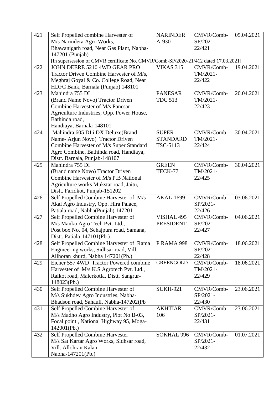| 421 | Self Propelled combine Harvester of                                                 | <b>NARINDER</b>   | CMVR/Comb-             | 05.04.2021 |
|-----|-------------------------------------------------------------------------------------|-------------------|------------------------|------------|
|     | M/s Narindera Agro Works,                                                           | A-930             | SP/2021-               |            |
|     | Bhawanigarh road, Near Gas Plant, Nabha-                                            |                   | 22/421                 |            |
|     | 147201 (Punjab)                                                                     |                   |                        |            |
|     | [In supersession of CMVR certificate No. CMVR/Comb-SP/2020-21/412 dated 17.03.2021] |                   |                        |            |
| 422 | JOHN DEERE 5210 4WD GEAR PRO                                                        | <b>VIKAS 315</b>  | CMVR/Comb-             | 19.04.2021 |
|     | Tractor Driven Combine Harvester of M/s,                                            |                   | TM/2021-               |            |
|     | Meghraj Goyal & Co. College Road, Near                                              |                   | 22/422                 |            |
|     | HDFC Bank, Barnala (Punjab) 148101                                                  |                   |                        |            |
| 423 | Mahindra 755 DI                                                                     | <b>PANESAR</b>    | CMVR/Comb-             | 20.04.2021 |
|     | (Brand Name Novo) Tractor Driven                                                    | <b>TDC 513</b>    | TM/2021-               |            |
|     | Combine Harvester of M/s Panesar                                                    |                   | 22/423                 |            |
|     | Agriculture Industries, Opp. Power House,                                           |                   |                        |            |
|     | Bathinda road,                                                                      |                   |                        |            |
|     | Handiaya, Barnala-148101                                                            |                   |                        |            |
| 424 | Mahindra 605 DI i DX Deluxe(Brand                                                   | <b>SUPER</b>      | CMVR/Comb-             | 30.04.2021 |
|     | Name- Arjun Novo) Tractor Driven                                                    | <b>STANDARD</b>   | TM/2021-               |            |
|     | Combine Harvester of M/s Super Standard                                             | TSC-5113          | 22/424                 |            |
|     | Agro Combine, Bathinda road, Handiaya,                                              |                   |                        |            |
|     | Distt. Barnala, Punjab-148107                                                       |                   |                        |            |
| 425 | Mahindra 755 DI                                                                     | <b>GREEN</b>      | CMVR/Comb-             | 30.04.2021 |
|     | (Brand name Novo) Tractor Driven                                                    | TECK-77           | TM/2021-               |            |
|     | Combine Harvester of M/s P.B National                                               |                   | 22/425                 |            |
|     | Agriculture works Mukstar road, Jaitu,                                              |                   |                        |            |
|     | Distt. Faridkot, Punjab-151202                                                      |                   |                        |            |
| 426 | Self Propelled Combine Harvester of M/s                                             | <b>AKAL-1699</b>  | CMVR/Comb-             | 03.06.2021 |
|     | Akal Agro Industry, Opp. Hira Palace,                                               |                   | SP/2021-               |            |
|     | Patiala road, Nabha(Punjab) 147201                                                  |                   | 22/426                 |            |
| 427 | Self Propelled Combine Harvester of                                                 | VISHAL 495        | CMVR/Comb-             | 04.06.2021 |
|     | M/s Manku Agro Tech Pvt. Ltd.,                                                      | <b>PRESIDENT</b>  | SP/2021-               |            |
|     | Post box No. 04, Sehajpura road, Samana,                                            |                   | 22/427                 |            |
|     | Distt. Patiala-147101(Pb.)                                                          |                   |                        |            |
| 428 | Self Propelled Combine Harvester of Rama                                            | <b>P RAMA 998</b> | CMVR/Comb-             | 18.06.2021 |
|     | Engineering works, Sidhsar road, Vill,                                              |                   | SP/2021-               |            |
|     | Allhoran khurd, Nabha 147201(Pb.)                                                   |                   | 22/428                 |            |
| 429 | Eicher 557 4WD Tractor Powered combine                                              | <b>GREENGOLD</b>  | CMVR/Comb-             | 18.06.2021 |
|     | Harvester of M/s K.S Agrotech Pvt. Ltd.,                                            |                   | TM/2021-               |            |
|     | Raikot road, Malerkotla, Distt. Sangrur-                                            |                   | 22/429                 |            |
|     | 148023(Pb.)                                                                         |                   |                        |            |
| 430 | Self Propelled Combine Harvester of                                                 | <b>SUKH-921</b>   | CMVR/Comb-             | 23.06.2021 |
|     | M/s Sukhdev Agro Industries, Nabha-                                                 |                   | SP/2021-               |            |
|     | Bhadson road, Sahauli, Nabha-147202(Pb                                              |                   | 22/430                 |            |
| 431 | Self Propelled Combine Harvester of                                                 | <b>AKHTIAR-</b>   | CMVR/Comb-             | 23.06.2021 |
|     | M/s Madho Agro Industry, Plot No B-03,                                              | 106               | SP/2021-               |            |
|     | Focal point, National Highway 95, Moga-                                             |                   | 22/431                 |            |
|     | 142001(Pb.)                                                                         |                   |                        |            |
| 432 | Self Propelled Combine Harvester                                                    | SOKHAL 996        | CMVR/Comb-<br>SP/2021- | 01.07.2021 |
|     | M/s Sat Kartar Agro Works, Sidhsar road,                                            |                   |                        |            |
|     | Vill. Allohran Kalan,                                                               |                   | 22/432                 |            |
|     | Nabha-147201(Pb.)                                                                   |                   |                        |            |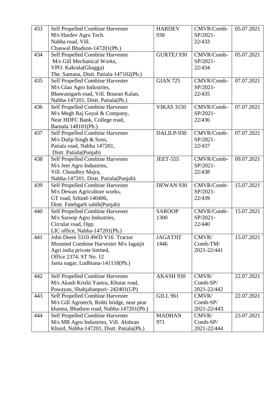| 433 | Self Propelled Combine Harvester           | <b>HARDEV</b>     | CMVR/Comb-   | 05.07.2021 |
|-----|--------------------------------------------|-------------------|--------------|------------|
|     | M/s Hardev Agro Tech.                      | 930               | SP/2021-     |            |
|     | Nabha road, Vill.                          |                   | 22/433       |            |
|     | Chaswal Bhadson-147201(Pb.)                |                   |              |            |
| 434 | Self Propelled Combine Harvester           | <b>GURTEJ 930</b> | CMVR/Comb-   | 05.07.2021 |
|     | M/s Gill Mechanical Works,                 |                   | SP/2021-     |            |
|     | VPO. Kakrala(Ghagga)                       |                   | 22/434       |            |
|     | The. Samana, Distt. Patiala-147102(Pb.)    |                   |              |            |
| 435 | Self Propelled Combine Harvester           | <b>GIAN 725</b>   | CMVR/Comb-   | 07.07.2021 |
|     | M/s Glan Agro Industries,                  |                   | SP/2021-     |            |
|     | Bhawanigarh road, Vill. Bouran Kalan,      |                   | 22/435       |            |
|     | Nabha-147201, Distt. Patiala(Pb.)          |                   |              |            |
| 436 | Self Propelled Combine Harvester           | <b>VIKAS 3150</b> | CMVR/Comb-   | 07.07.2021 |
|     | M/s Megh Raj Goyal & Company,              |                   | SP/2021-     |            |
|     | Near HDFC Bank, College road,              |                   | 22/436       |            |
|     | Barnala 148101(Pb.)                        |                   |              |            |
| 437 | Self Propelled Combine Harvester           | DALILP-930        | CMVR/Comb-   | 07.07.2021 |
|     | $M/s$ Dalip Singh & Sons,                  |                   | SP/2021-     |            |
|     | Patiala road, Nabha 147201,                |                   | 22/437       |            |
|     | Distt. Patiala(Punjab)                     |                   |              |            |
| 438 | Self Propelled Combine Harvester           | <b>JEET-555</b>   | CMVR/Comb-   | 09.07.2021 |
|     | M/s Jeet Agro Industries,                  |                   | SP/2021-     |            |
|     | Vill. Chaudhry Majra,                      |                   | 22/438       |            |
|     | Nabha-147201, Distt. Patiala(Punjab)       |                   |              |            |
| 439 | Self Propelled Combine Harvester           | DEWAN 930         | CMVR/Comb-   | 15.07.2021 |
|     | M/s Dewan Agriculture works,               |                   | SP/2021-     |            |
|     | GT road, Srhind-140406,                    |                   | 22/439       |            |
|     | Distt. Fatehgarh sahib(Punjab)             |                   |              |            |
| 440 | Self Propelled Combine Harvester           | <b>SAROOP</b>     | CMVR/Comb-   | 15.07.2021 |
|     | M/s Saroop Agro Industries,                | 1300              | SP/2021-     |            |
|     | Circular road, Opp.                        |                   | 22/440       |            |
|     | LIC office, Nabha-147201(Pb.)              |                   |              |            |
| 441 | John Deere 5310 4WD V16 Tractor            | <b>JAGATJIT</b>   | CMVR/        | 15.07.2021 |
|     | Mounted Combine Harvester M/s Jagatjit     | 1446              | Comb-TM/     |            |
|     | Agri india private limited,                |                   | 2021-22/441  |            |
|     | Office 2374, ST No. 12                     |                   |              |            |
|     | Janta nagar, Ludhiana-141118(Pb.)          |                   |              |            |
|     |                                            |                   |              |            |
| 442 | Self Propelled Combine Harvester           | AKASH 930         | CMVR/        | 22.07.2021 |
|     | M/s Akash Krishi Yantra, Khutar road,      |                   | $Comb$ -SP/  |            |
|     | Powayan, Shahjahanpuri-242401(UP)          |                   | 2021-22/442  |            |
| 443 | Self Propelled Combine Harvester           | <b>GILL 961</b>   | CMVR/        | 22.07.2021 |
|     | M/s Gill Agrotech, Rohti bridge, near pear |                   | Comb-SP/     |            |
|     | khanna, Bhadson road, Nabha-147201(Pb.)    |                   | 2021-22/443. |            |
| 444 | Self Propelled Combine Harvester           | <b>MADHAN</b>     | CMVR/        | 23.07.2021 |
|     | M/s MB Agro Industries, Vill. Alohran      | 971               | Comb-SP/     |            |
|     | Khurd, Nabha-147201, Distt. Patiala(Pb.)   |                   | 2021-22/444  |            |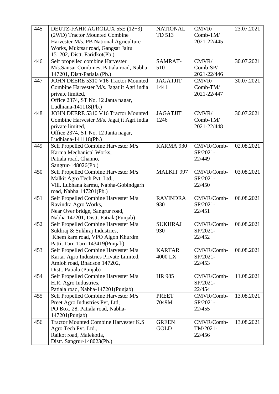| 445 | DEUTZ-FAHR AGROLUX 55E (12+3)                          | <b>NATIONAL</b>          | CMVR/              | 23.07.2021 |
|-----|--------------------------------------------------------|--------------------------|--------------------|------------|
|     | (2WD) Tractor Mounted Combine                          | TD 513                   | Comb-TM/           |            |
|     | Harvester M/s. PB National Agriculture                 |                          | 2021-22/445        |            |
|     | Works, Muktsar road, Gangsar Jaitu                     |                          |                    |            |
|     | 151202, Distt. Faridkot(Pb.)                           |                          |                    |            |
| 446 | Self propelled combine Harvester                       | SAMRAT-                  | CMVR/              | 30.07.2021 |
|     | M/s.Sansar Combines, Patiala road, Nabha-              | 510                      | Comb-SP/           |            |
|     | 147201, Distt-Patiala (Pb.)                            |                          | 2021-22/446        |            |
| 447 | JOHN DEERE 5310 V16 Tractor Mounted                    | <b>JAGATJIT</b>          | CMVR/              | 30.07.2021 |
|     | Combine Harvester M/s. Jagatjit Agri india             | 1441                     | Comb-TM/           |            |
|     | private limited,                                       |                          | 2021-22/447        |            |
|     | Office 2374, ST No. 12 Janta nagar,                    |                          |                    |            |
|     | Ludhiana-141118(Pb.)                                   |                          |                    |            |
| 448 | JOHN DEERE 5310 V16 Tractor Mounted                    | <b>JAGATJIT</b>          | CMVR/              | 30.07.2021 |
|     | Combine Harvester M/s. Jagatjit Agri india             | 1246                     | Comb-TM/           |            |
|     | private limited,                                       |                          | 2021-22/448        |            |
|     | Office 2374, ST No. 12 Janta nagar,                    |                          |                    |            |
|     | Ludhiana-141118(Pb.)                                   |                          |                    |            |
| 449 | Self Propelled Combine Harvester M/s                   | KARMA 930                | CMVR/Comb-         | 02.08.2021 |
|     | Karma Mechanical Works,                                |                          | SP/2021-           |            |
|     | Patiala road, Channo,                                  |                          | 22/449             |            |
|     | Sangrur-148026(Pb.)                                    |                          |                    |            |
| 450 | Self Propelled Combine Harvester M/s                   | <b>MALKIT 997</b>        | CMVR/Comb-         | 03.08.2021 |
|     | Malkit Agro Tech Pvt. Ltd.,                            |                          | SP/2021-           |            |
|     | Vill. Lubhana karmu, Nabha-Gobindgarh                  |                          | 22/450             |            |
|     | road, Nabha 147201(Pb.)                                |                          |                    |            |
| 451 | Self Propelled Combine Harvester M/s                   | <b>RAVINDRA</b>          | CMVR/Comb-         | 06.08.2021 |
|     | Ravindra Agro Works,                                   | 930                      | SP/2021-           |            |
|     | Near Over bridge, Sangrur road,                        |                          | 22/451             |            |
|     | Nabha 147201, Distt. Patiala(Punjab)                   |                          |                    |            |
| 452 | Self Propelled Combine Harvester M/s                   | <b>SUKHRAJ</b>           | CMVR/Comb-         | 06.08.2021 |
|     | Sukhraj & Sukhraj Industries,                          | 930                      | SP/2021-           |            |
|     | Khem karn road, VPO Algon Khurdm                       |                          | 22/452             |            |
|     | Patti, Tarn Tarn 143419(Punjab)                        |                          |                    |            |
| 453 | Self Propelled Combine Harvester M/s                   | <b>KARTAR</b><br>4000 LX | CMVR/Comb-         | 06.08.2021 |
|     | Kartar Agro Industries Private Limited,                |                          | SP/2021-<br>22/453 |            |
|     | Amloh road, Bhadson 147202,<br>Distt. Patiala (Punjab) |                          |                    |            |
| 454 | Self Propelled Combine Harvester M/s                   | <b>HR 985</b>            | CMVR/Comb-         | 11.08.2021 |
|     | H.R. Agro Industries,                                  |                          | SP/2021-           |            |
|     | Patiala road, Nabha-147201(Punjab)                     |                          | 22/454             |            |
| 455 | Self Propelled Combine Harvester M/s                   | <b>PREET</b>             | CMVR/Comb-         | 13.08.2021 |
|     | Preet Agro Industries Pvt, Ltd,                        | 7049M                    | SP/2021-           |            |
|     | PO Box. 28, Patiala road, Nabha-                       |                          | 22/455             |            |
|     | 147201(Punjab)                                         |                          |                    |            |
| 456 | Tractor Mounted Combine Harvester K.S                  | <b>GREEN</b>             | CMVR/Comb-         | 13.08.2021 |
|     | Agro Tech Pvt. Ltd.,                                   | <b>GOLD</b>              | TM/2021-           |            |
|     | Raikot road, Malekotla,                                |                          | 22/456             |            |
|     | Distt. Sangrur-148023(Pb.)                             |                          |                    |            |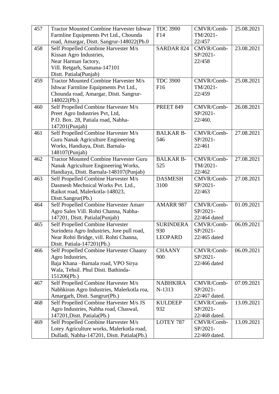| 457 | <b>Tractor Mounted Combine Harvester Ishwar</b>                                   | <b>TDC 3900</b>       | CMVR/Comb-             | 25.08.2021 |
|-----|-----------------------------------------------------------------------------------|-----------------------|------------------------|------------|
|     | Farmline Equipments Pvt Ltd., Chounda                                             | F14                   | TM/2021-               |            |
|     | road, Amargar, Distt. Sangrur-148022(Pb.0                                         |                       | 22/457                 |            |
| 458 | Self Propelled Combine Harvester M/s                                              | <b>SARDAR 824</b>     | CMVR/Comb-             | 23.08.2021 |
|     | Kissan Agro Industries,                                                           |                       | SP/2021-               |            |
|     | Near Harman factory,                                                              |                       | 22/458                 |            |
|     | Vill. Retgarh, Samana-147101                                                      |                       |                        |            |
|     | Distt. Patiala(Punjab)                                                            |                       |                        |            |
| 459 | <b>Tractor Mounted Combine Harvester M/s</b>                                      | <b>TDC 3900</b>       | CMVR/Comb-             | 25.08.2021 |
|     | Ishwar Farmline Equipments Pvt Ltd.,                                              | F <sub>16</sub>       | TM/2021-               |            |
|     | Chounda road, Amargar, Distt. Sangrur-                                            |                       | 22/459                 |            |
|     | 148022(Pb.)                                                                       |                       |                        |            |
| 460 | Self Propelled Combine Harvester M/s                                              | <b>PREET 849</b>      | CMVR/Comb-             | 26.08.2021 |
|     | Preet Agro Industries Pvt, Ltd,                                                   |                       | SP/2021-               |            |
|     | P.O. Box. 28, Patiala road, Nabha-                                                |                       | 22/460.                |            |
|     | 147201(Punjab)                                                                    |                       |                        |            |
| 461 | Self Propelled Combine Harvester M/s                                              | <b>BALKAR B-</b>      | CMVR/Comb-             | 27.08.2021 |
|     | Guru Nanak Agriculture Engineering                                                | 546                   | SP/2021-               |            |
|     | Works, Handiaya, Distt. Barnala-                                                  |                       | 22/461                 |            |
|     | 148107(Punjab)                                                                    |                       |                        |            |
| 462 | <b>Tractor Mounted Combine Harvester Guru</b>                                     | <b>BALKAR B-</b>      | CMVR/Comb-             | 27.08.2021 |
|     | Nanak Agriculture Engineering Works,                                              | 525                   | TM/2021-               |            |
|     | Handiaya, Distt. Barnala-148107(Punjab)                                           |                       | 22/462                 |            |
| 463 | Self Propelled Combine Harvester M/s                                              | <b>DASMESH</b>        | CMVR/Comb-             | 27.08.2021 |
|     | Dasmesh Mechnical Works Pvt. Ltd.,                                                | 3100                  | SP/2021-               |            |
|     | Raikot road, Malerkotla-148023,                                                   |                       | 22/463                 |            |
|     | Distt.Sangrur(Pb.)                                                                |                       |                        |            |
| 464 | Self Propelled Combine Harvester Amarr                                            | <b>AMARR 987</b>      | CMVR/Comb-             | 01.09.2021 |
|     | Agro Sales Vill. Rohti Channa, Nabha-                                             |                       | SP/2021-               |            |
|     | 147201, Distt. Patiala(Punjab)                                                    |                       | 22/464 dated           |            |
| 465 | Self Propelled Combine Harvester                                                  | <b>SURINDERA</b>      | CMVR/Comb-             | 06.09.2021 |
|     | Surindera Agro Industries, Jore pull road,                                        | 930                   | SP/2021-               |            |
|     | Near Rohti Bridge, vill. Rohti Channa,                                            | <b>LEOPARD</b>        | 22/465 dated           |            |
|     | Distt. Patiala-147201(Pb.)                                                        |                       |                        |            |
| 466 | Self Propelled Combine Harvester Chaany                                           | <b>CHAANY</b>         | CMVR/Comb-             | 06.09.2021 |
|     | Agro Industries,                                                                  | 900                   | SP/2021-               |            |
|     | Baja Khana-Barnala road, VPO Sirya                                                |                       | 22/466 dated           |            |
|     | Wala, Tehsil. Phul Distt. Bathinda-                                               |                       |                        |            |
|     | 151206(Pb.)                                                                       |                       |                        |            |
| 467 | Self Propelled Combine Harvester M/s                                              | <b>NABHKIRA</b>       | CMVR/Comb-             | 07.09.2021 |
|     | Nabhkiran Agro Industries, Malerkotla roa,                                        | N-1313                | SP/2021-               |            |
|     | Amargarh, Distt. Sangrur(Pb.)                                                     |                       | 22/467 dated.          |            |
| 468 | Self Propelled Combine Harvester M/s JS                                           | <b>KULDEEP</b><br>932 | CMVR/Comb-<br>SP/2021- | 13.09.2021 |
|     | Agro Industries, Nabha road, Chaswal,<br>147201, Distt. Patiala(Pb.)              |                       | 22/468 dated.          |            |
| 469 |                                                                                   | LOTEY 787             | CMVR/Comb-             | 13.09.2021 |
|     | Self Propelled Combine Harvester M/s<br>Lotey Agriculture works, Malerkotla road, |                       | SP/2021-               |            |
|     | Dulladi, Nabha-147201, Distt. Patiala(Pb.)                                        |                       | 22/469 dated.          |            |
|     |                                                                                   |                       |                        |            |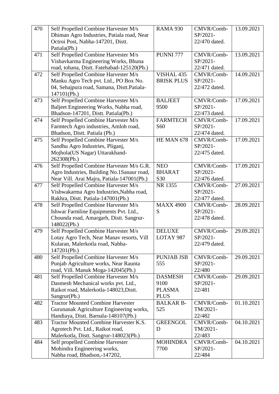| 470 | Self Propelled Combine Harvester M/s                | <b>RAMA 930</b>   | CMVR/Comb-             | 13.09.2021 |
|-----|-----------------------------------------------------|-------------------|------------------------|------------|
|     | Dhiman Agro Industries, Patiala road, Near          |                   | SP/2021-               |            |
|     | Octroi Post, Nabha-147201, Distt.                   |                   | 22/470 dated.          |            |
|     | Patiala(Pb.)                                        |                   |                        |            |
| 471 | Self Propelled Combine Harvester M/s                | <b>PUNNI 777</b>  | CMVR/Comb-             | 13.09.2021 |
|     | Vishavkarma Engineering Works, Bhuna                |                   | SP/2021-               |            |
|     | road, tohana, Distt. Fatehabad-125120(Pb.)          |                   | 22/471 dated.          |            |
| 472 | Self Propelled Combine Harvester M/s                | VISHAL 435        | CMVR/Comb-             | 14.09.2021 |
|     | Manku Agro Tech pvt. Ltd., PO Box No.               | <b>BRISK PLUS</b> | SP/2021-               |            |
|     | 04, Sehajpura road, Samana, Distt.Patiala-          |                   | 22/472 dated.          |            |
|     | 147101(Pb.)                                         |                   |                        |            |
| 473 | Self Propelled Combine Harvester M/s                | <b>BALJEET</b>    | CMVR/Comb-             | 17.09.2021 |
|     | Baljeet Engineering Works, Nabha road,              | 9500              | SP/2021-               |            |
|     | Bhadson-147201, Distt. Patiala(Pb.)                 |                   | 22/473 dated.          |            |
| 474 | Self Propelled Combine Harvester M/s                | <b>FARMTECH</b>   | CMVR/Comb-             | 17.09.2021 |
|     | Farmtech Agro industries, Amloh road,               | S <sub>60</sub>   | SP/2021-               |            |
|     | Bhadson, Distt. Patiala (Pb.)                       |                   | 22/474 dated.          |            |
| 475 | Self Propelled Combine Harvester M/s                | HE MAN 678        | CMVR/Comb-             | 17.09.2021 |
|     | Sandhu Agro Industries, Pliganj,                    |                   | SP/2021-               |            |
|     | Mojhola(US Nagar) Uttarakhand-                      |                   | 22/475 dated.          |            |
|     | 262308(Pb.)                                         |                   |                        |            |
| 476 | Self Propelled Combine Harvester M/s G.R.           | <b>NEO</b>        | CMVR/Comb-             | 17.09.2021 |
|     | Agro Industries, Building No.1Sanaur road,          | <b>BHARAT</b>     | SP/2021-               |            |
|     | Near Vill. Arai Majra, Patiala-147001(Pb.)          | S30               | 22/476 dated.          |            |
| 477 | Self Propelled Combine Harvester M/s                | NR 1355           | CMVR/Comb-             | 27.09.2021 |
|     | Vishwakarma Agro Industries, Nabha road,            |                   | SP/2021-               |            |
|     | Rakhra, Distt. Patiala-147001(Pb.)                  |                   | 22/477 dated.          |            |
| 478 | Self Propelled Combine Harvester M/s                | <b>MAXX 4900</b>  | CMVR/Comb-             | 28.09.2021 |
|     | Ishwar Farmline Equipments Pvt. Ltd.,               | S                 | SP/2021-               |            |
|     | Chounda road, Amargarh, Distt. Sangrur-             |                   | 22/478 dated.          |            |
|     | 148022(Pb.)                                         |                   |                        |            |
| 479 | Self Propelled Combine Harvester M/s                | <b>DELUXE</b>     | CMVR/Comb-<br>SP/2021- | 29.09.2021 |
|     | Lotay Agro Tech, Near Manav resorts, Vill           | LOTAY 987         |                        |            |
|     | Kularan, Malerkotla road, Nabha-                    |                   | 22/479 dated.          |            |
| 480 | 147201(Pb.)<br>Self Propelled Combine Harvester M/s | <b>PUNJAB JSB</b> | CMVR/Comb-             | 29.09.2021 |
|     | Punjab Agriculture works, Near Raunta               | 555               | SP/2021-               |            |
|     | road, Vill. Manuk Moga-142045(Pb.)                  |                   | 22/480                 |            |
| 481 | Self Propelled Combine Harvester M/s                | <b>DASMESH</b>    | CMVR/Comb-             | 29.09.2021 |
|     | Dasmesh Mechanical works pvt. Ltd.,                 | 9100              | SP/2021-               |            |
|     | Raikot road, Malerkotla-148023, Distt.              | <b>PLASMA</b>     | 22/481                 |            |
|     | Sangrur(Pb.)                                        | <b>PLUS</b>       |                        |            |
| 482 | <b>Tractor Mounted Combine Harvester</b>            | <b>BALKAR B-</b>  | CMVR/Comb-             | 01.10.2021 |
|     | Gurunanak Agriculture Engineering works,            | 525               | TM/2021-               |            |
|     | Handiaya, Distt. Barnala-148107(Pb.)                |                   | 22/482                 |            |
| 483 | Tractor Mounted Combine Harvester K.S.              | <b>GREENGOL</b>   | CMVR/Comb-             | 04.10.2021 |
|     | Agrotech Pvt. Ltd., Raikot road,                    | D                 | TM/2021-               |            |
|     | Malerkotla, Distt. Sangrur-148023(Pb.)              |                   | 22/483                 |            |
| 484 | Self propelled Combine Harvester                    | <b>MOHINDRA</b>   | CMVR/Comb-             | 04.10.2021 |
|     | Mohindra Engineering works,                         | 7700              | SP/2021-               |            |
|     | Nabha road, Bhadson,-147202,                        |                   | 22/484                 |            |